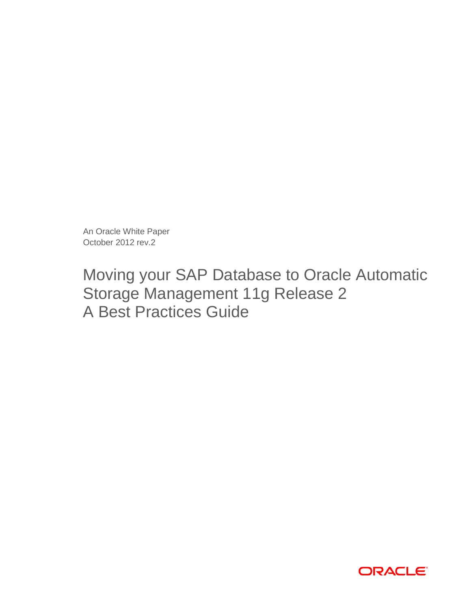An Oracle White Paper October 2012 rev.2

# Moving your SAP Database to Oracle Automatic Storage Management 11g Release 2 A Best Practices Guide

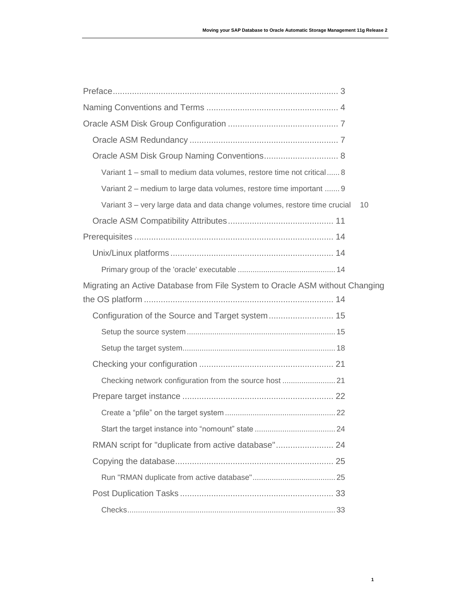| Oracle ASM Disk Group Naming Conventions 8                                      |
|---------------------------------------------------------------------------------|
| Variant 1 - small to medium data volumes, restore time not critical 8           |
| Variant 2 - medium to large data volumes, restore time important  9             |
| Variant 3 - very large data and data change volumes, restore time crucial<br>10 |
|                                                                                 |
|                                                                                 |
|                                                                                 |
|                                                                                 |
| Migrating an Active Database from File System to Oracle ASM without Changing    |
|                                                                                 |
|                                                                                 |
|                                                                                 |
|                                                                                 |
|                                                                                 |
| Checking network configuration from the source host  21                         |
|                                                                                 |
|                                                                                 |
|                                                                                 |
| RMAN script for "duplicate from active database" 24                             |
|                                                                                 |
|                                                                                 |
|                                                                                 |
|                                                                                 |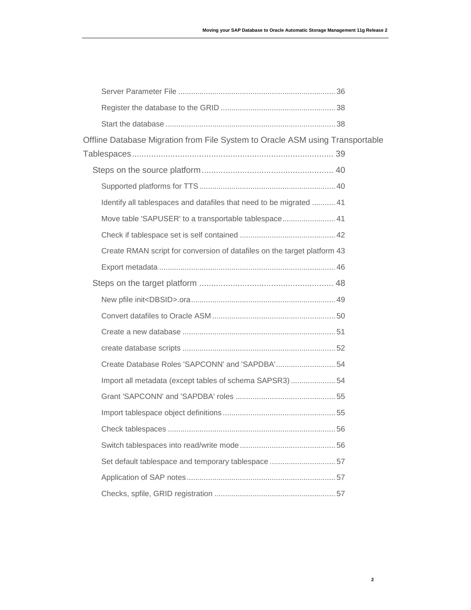| Offline Database Migration from File System to Oracle ASM using Transportable |  |
|-------------------------------------------------------------------------------|--|
|                                                                               |  |
|                                                                               |  |
|                                                                               |  |
| Identify all tablespaces and datafiles that need to be migrated  41           |  |
| Move table 'SAPUSER' to a transportable tablespace 41                         |  |
|                                                                               |  |
| Create RMAN script for conversion of datafiles on the target platform 43      |  |
|                                                                               |  |
|                                                                               |  |
|                                                                               |  |
|                                                                               |  |
|                                                                               |  |
|                                                                               |  |
| Create Database Roles 'SAPCONN' and 'SAPDBA' 54                               |  |
| Import all metadata (except tables of schema SAPSR3)54                        |  |
|                                                                               |  |
|                                                                               |  |
|                                                                               |  |
|                                                                               |  |
| Set default tablespace and temporary tablespace 57                            |  |
|                                                                               |  |
|                                                                               |  |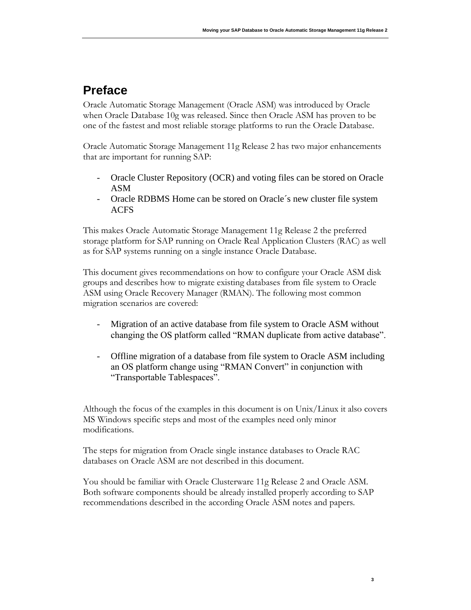# <span id="page-3-0"></span>**Preface**

Oracle Automatic Storage Management (Oracle ASM) was introduced by Oracle when Oracle Database 10g was released. Since then Oracle ASM has proven to be one of the fastest and most reliable storage platforms to run the Oracle Database.

Oracle Automatic Storage Management 11g Release 2 has two major enhancements that are important for running SAP:

- Oracle Cluster Repository (OCR) and voting files can be stored on Oracle ASM
- Oracle RDBMS Home can be stored on Oracle´s new cluster file system ACFS

This makes Oracle Automatic Storage Management 11g Release 2 the preferred storage platform for SAP running on Oracle Real Application Clusters (RAC) as well as for SAP systems running on a single instance Oracle Database.

This document gives recommendations on how to configure your Oracle ASM disk groups and describes how to migrate existing databases from file system to Oracle ASM using Oracle Recovery Manager (RMAN). The following most common migration scenarios are covered:

- Migration of an active database from file system to Oracle ASM without changing the OS platform called "RMAN duplicate from active database".
- Offline migration of a database from file system to Oracle ASM including an OS platform change using "RMAN Convert" in conjunction with "Transportable Tablespaces".

Although the focus of the examples in this document is on Unix/Linux it also covers MS Windows specific steps and most of the examples need only minor modifications.

The steps for migration from Oracle single instance databases to Oracle RAC databases on Oracle ASM are not described in this document.

You should be familiar with Oracle Clusterware 11g Release 2 and Oracle ASM. Both software components should be already installed properly according to SAP recommendations described in the according Oracle ASM notes and papers.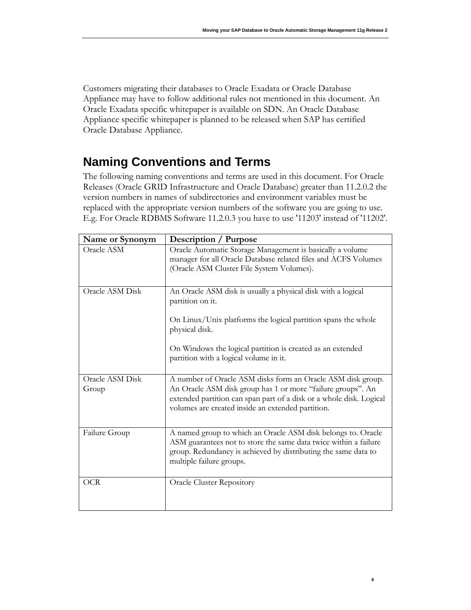Customers migrating their databases to Oracle Exadata or Oracle Database Appliance may have to follow additional rules not mentioned in this document. An Oracle Exadata specific whitepaper is available on SDN. An Oracle Database Appliance specific whitepaper is planned to be released when SAP has certified Oracle Database Appliance.

# <span id="page-4-0"></span>**Naming Conventions and Terms**

The following naming conventions and terms are used in this document. For Oracle Releases (Oracle GRID Infrastructure and Oracle Database) greater than 11.2.0.2 the version numbers in names of subdirectories and environment variables must be replaced with the appropriate version numbers of the software you are going to use. E.g. For Oracle RDBMS Software 11.2.0.3 you have to use '11203' instead of '11202'.

| Name or Synonym          | <b>Description / Purpose</b>                                                                                                                                                                                                                           |
|--------------------------|--------------------------------------------------------------------------------------------------------------------------------------------------------------------------------------------------------------------------------------------------------|
| Oracle ASM               | Oracle Automatic Storage Management is basically a volume<br>manager for all Oracle Database related files and ACFS Volumes<br>(Oracle ASM Cluster File System Volumes).                                                                               |
| Oracle ASM Disk          | An Oracle ASM disk is usually a physical disk with a logical<br>partition on it.                                                                                                                                                                       |
|                          | On Linux/Unix platforms the logical partition spans the whole<br>physical disk.                                                                                                                                                                        |
|                          | On Windows the logical partition is created as an extended<br>partition with a logical volume in it.                                                                                                                                                   |
| Oracle ASM Disk<br>Group | A number of Oracle ASM disks form an Oracle ASM disk group.<br>An Oracle ASM disk group has 1 or more "failure groups". An<br>extended partition can span part of a disk or a whole disk. Logical<br>volumes are created inside an extended partition. |
| Failure Group            | A named group to which an Oracle ASM disk belongs to. Oracle<br>ASM guarantees not to store the same data twice within a failure<br>group. Redundancy is achieved by distributing the same data to<br>multiple failure groups.                         |
| OCR                      | <b>Oracle Cluster Repository</b>                                                                                                                                                                                                                       |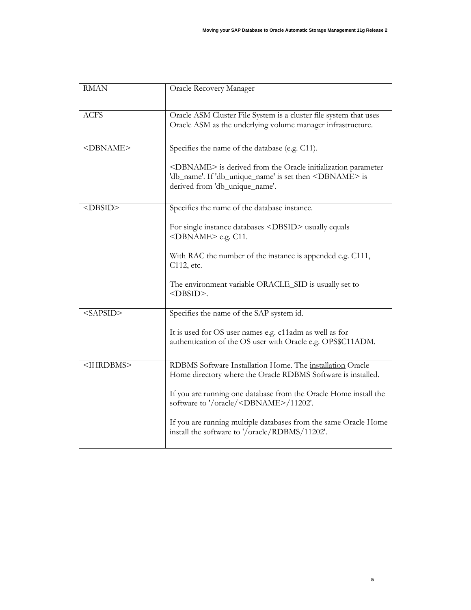| <b>RMAN</b>         | Oracle Recovery Manager                                                                                                                                                                     |
|---------------------|---------------------------------------------------------------------------------------------------------------------------------------------------------------------------------------------|
| <b>ACFS</b>         | Oracle ASM Cluster File System is a cluster file system that uses<br>Oracle ASM as the underlying volume manager infrastructure.                                                            |
| <dbname></dbname>   | Specifies the name of the database (e.g. C11).<br><dbname> is derived from the Oracle initialization parameter<br/>'db_name'. If 'db_unique_name' is set then <dbname> is</dbname></dbname> |
|                     | derived from 'db_unique_name'.                                                                                                                                                              |
| $<$ DBSID>          | Specifies the name of the database instance.<br>For single instance databases <dbsid> usually equals<br/><dbname> e.g. C11.</dbname></dbsid>                                                |
|                     | With RAC the number of the instance is appended e.g. C111,<br>C112, etc.<br>The environment variable ORACLE_SID is usually set to<br><dbsid>.</dbsid>                                       |
| $<$ SAPSID>         | Specifies the name of the SAP system id.                                                                                                                                                    |
|                     | It is used for OS user names e.g. c11adm as well as for<br>authentication of the OS user with Oracle e.g. OPS\$C11ADM.                                                                      |
| <ihrdbms></ihrdbms> | RDBMS Software Installation Home. The installation Oracle<br>Home directory where the Oracle RDBMS Software is installed.                                                                   |
|                     | If you are running one database from the Oracle Home install the<br>software to '/oracle/ <dbname>/11202'.</dbname>                                                                         |
|                     | If you are running multiple databases from the same Oracle Home<br>install the software to '/oracle/RDBMS/11202'.                                                                           |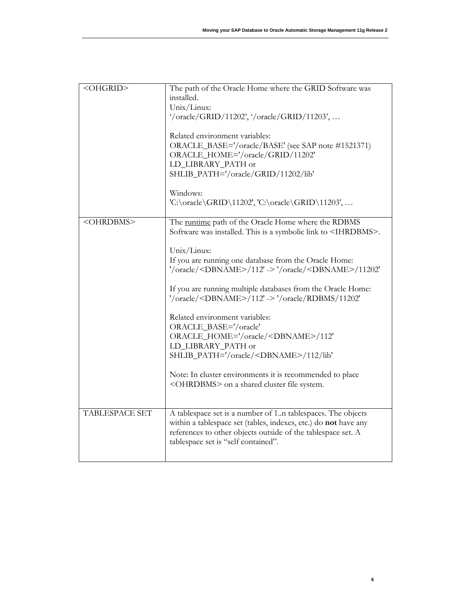**6**

| <ohgrid></ohgrid>     | The path of the Oracle Home where the GRID Software was<br>installed.<br>Unix/Linux:<br>'/oracle/GRID/11202', '/oracle/GRID/11203',<br>Related environment variables:<br>ORACLE_BASE='/oracle/BASE' (see SAP note #1521371)<br>ORACLE_HOME='/oracle/GRID/11202'<br>LD_LIBRARY_PATH or<br>SHLIB_PATH='/oracle/GRID/11202/lib'<br>Windows:<br>'C:\oracle\GRID\11202', 'C:\oracle\GRID\11203',                                                                                                                                                                                                                                                                                                                                       |
|-----------------------|-----------------------------------------------------------------------------------------------------------------------------------------------------------------------------------------------------------------------------------------------------------------------------------------------------------------------------------------------------------------------------------------------------------------------------------------------------------------------------------------------------------------------------------------------------------------------------------------------------------------------------------------------------------------------------------------------------------------------------------|
| <ohrdbms></ohrdbms>   | The runtime path of the Oracle Home where the RDBMS<br>Software was installed. This is a symbolic link to <ihrdbms>.<br/>Unix/Linux:<br/>If you are running one database from the Oracle Home:<br/>'/oracle/<dbname>/112' -&gt; '/oracle/<dbname>/11202'<br/>If you are running multiple databases from the Oracle Home:<br/>'/oracle/<dbname>/112' -&gt; '/oracle/RDBMS/11202'<br/>Related environment variables:<br/>ORACLE_BASE='/oracle'<br/>ORACLE_HOME='/oracle/<dbname>/112'<br/>LD_LIBRARY_PATH or<br/>SHLIB_PATH='/oracle/<dbname>/112/lib'<br/>Note: In cluster environments it is recommended to place<br/><ohrdbms> on a shared cluster file system.</ohrdbms></dbname></dbname></dbname></dbname></dbname></ihrdbms> |
| <b>TABLESPACE SET</b> | A tablespace set is a number of 1n tablespaces. The objects<br>within a tablespace set (tables, indexes, etc.) do not have any<br>references to other objects outside of the tablespace set. A<br>tablespace set is "self contained".                                                                                                                                                                                                                                                                                                                                                                                                                                                                                             |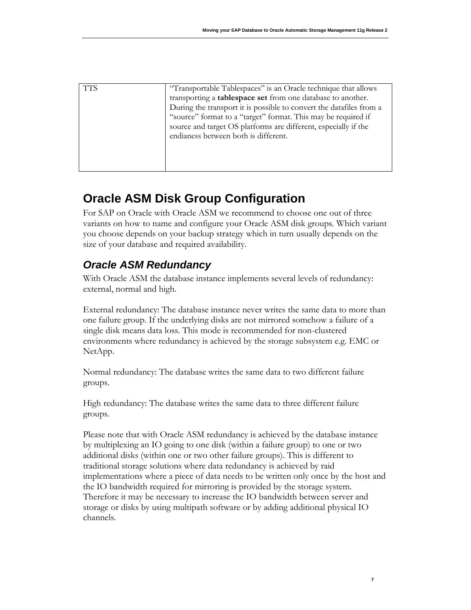| <b>TTS</b> | "Transportable Tablespaces" is an Oracle technique that allows                                                                                                           |
|------------|--------------------------------------------------------------------------------------------------------------------------------------------------------------------------|
|            | transporting a <b>tablespace set</b> from one database to another.<br>During the transport it is possible to convert the datafiles from a                                |
|            | "source" format to a "target" format. This may be required if<br>source and target OS platforms are different, especially if the<br>endianess between both is different. |
|            |                                                                                                                                                                          |

# <span id="page-7-0"></span>**Oracle ASM Disk Group Configuration**

For SAP on Oracle with Oracle ASM we recommend to choose one out of three variants on how to name and configure your Oracle ASM disk groups. Which variant you choose depends on your backup strategy which in turn usually depends on the size of your database and required availability.

# <span id="page-7-1"></span>*Oracle ASM Redundancy*

With Oracle ASM the database instance implements several levels of redundancy: external, normal and high.

External redundancy: The database instance never writes the same data to more than one failure group. If the underlying disks are not mirrored somehow a failure of a single disk means data loss. This mode is recommended for non-clustered environments where redundancy is achieved by the storage subsystem e.g. EMC or NetApp.

Normal redundancy: The database writes the same data to two different failure groups.

High redundancy: The database writes the same data to three different failure groups.

Please note that with Oracle ASM redundancy is achieved by the database instance by multiplexing an IO going to one disk (within a failure group) to one or two additional disks (within one or two other failure groups). This is different to traditional storage solutions where data redundancy is achieved by raid implementations where a piece of data needs to be written only once by the host and the IO bandwidth required for mirroring is provided by the storage system. Therefore it may be necessary to increase the IO bandwidth between server and storage or disks by using multipath software or by adding additional physical IO channels.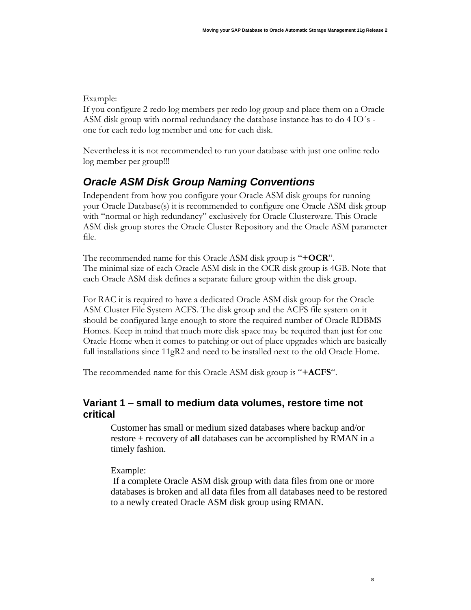#### Example:

If you configure 2 redo log members per redo log group and place them on a Oracle ASM disk group with normal redundancy the database instance has to do 4 IO´s one for each redo log member and one for each disk.

Nevertheless it is not recommended to run your database with just one online redo log member per group!!!

# <span id="page-8-0"></span>*Oracle ASM Disk Group Naming Conventions*

Independent from how you configure your Oracle ASM disk groups for running your Oracle Database(s) it is recommended to configure one Oracle ASM disk group with "normal or high redundancy" exclusively for Oracle Clusterware. This Oracle ASM disk group stores the Oracle Cluster Repository and the Oracle ASM parameter file.

The recommended name for this Oracle ASM disk group is "**+OCR**". The minimal size of each Oracle ASM disk in the OCR disk group is 4GB. Note that each Oracle ASM disk defines a separate failure group within the disk group.

For RAC it is required to have a dedicated Oracle ASM disk group for the Oracle ASM Cluster File System ACFS. The disk group and the ACFS file system on it should be configured large enough to store the required number of Oracle RDBMS Homes. Keep in mind that much more disk space may be required than just for one Oracle Home when it comes to patching or out of place upgrades which are basically full installations since 11gR2 and need to be installed next to the old Oracle Home.

The recommended name for this Oracle ASM disk group is "**+ACFS**".

#### <span id="page-8-1"></span>**Variant 1 – small to medium data volumes, restore time not critical**

Customer has small or medium sized databases where backup and/or restore + recovery of **all** databases can be accomplished by RMAN in a timely fashion.

Example:

If a complete Oracle ASM disk group with data files from one or more databases is broken and all data files from all databases need to be restored to a newly created Oracle ASM disk group using RMAN.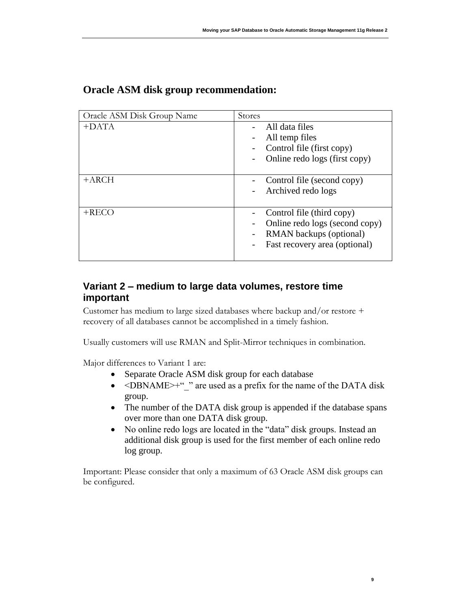| Oracle ASM Disk Group Name | Stores                                                                                                                  |
|----------------------------|-------------------------------------------------------------------------------------------------------------------------|
| $+$ DATA                   | All data files<br>All temp files<br>Control file (first copy)<br>Online redo logs (first copy)                          |
| $+{\rm ARCH}$              | Control file (second copy)<br>Archived redo logs                                                                        |
| $+RECO$                    | Control file (third copy)<br>Online redo logs (second copy)<br>RMAN backups (optional)<br>Fast recovery area (optional) |

## **Oracle ASM disk group recommendation:**

## <span id="page-9-0"></span>**Variant 2 – medium to large data volumes, restore time important**

Customer has medium to large sized databases where backup and/or restore + recovery of all databases cannot be accomplished in a timely fashion.

Usually customers will use RMAN and Split-Mirror techniques in combination.

Major differences to Variant 1 are:

- Separate Oracle ASM disk group for each database
- <DBNAME>+"\_" are used as a prefix for the name of the DATA disk group.
- The number of the DATA disk group is appended if the database spans over more than one DATA disk group.
- No online redo logs are located in the "data" disk groups. Instead an additional disk group is used for the first member of each online redo log group.

**9**

Important: Please consider that only a maximum of 63 Oracle ASM disk groups can be configured.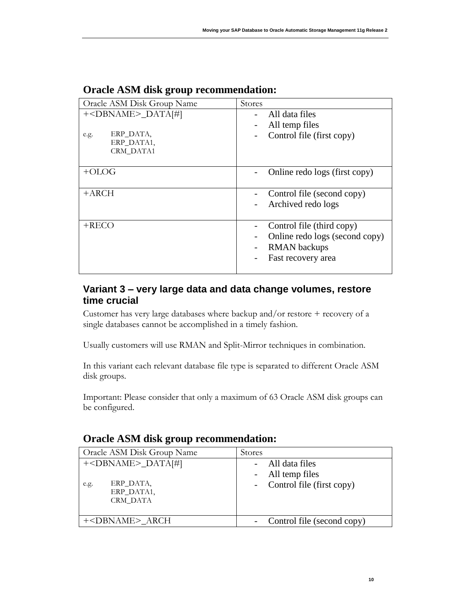| Oracle ASM Disk Group Name         | Stores                         |
|------------------------------------|--------------------------------|
| $+\langle DBNAME \rangle_DATA[\#]$ | All data files                 |
|                                    | All temp files                 |
| ERP DATA,<br>e.g.                  | Control file (first copy)      |
| ERP_DATA1,<br>CRM DATA1            |                                |
|                                    |                                |
| $+OLOG$                            | Online redo logs (first copy)  |
| +ARCH                              | Control file (second copy)     |
|                                    | Archived redo logs             |
|                                    |                                |
| $+$ RECO                           | Control file (third copy)      |
|                                    | Online redo logs (second copy) |
|                                    | <b>RMAN</b> backups            |
|                                    | Fast recovery area             |
|                                    |                                |

## **Oracle ASM disk group recommendation:**

## <span id="page-10-0"></span>**Variant 3 – very large data and data change volumes, restore time crucial**

Customer has very large databases where backup and/or restore + recovery of a single databases cannot be accomplished in a timely fashion.

Usually customers will use RMAN and Split-Mirror techniques in combination.

In this variant each relevant database file type is separated to different Oracle ASM disk groups.

Important: Please consider that only a maximum of 63 Oracle ASM disk groups can be configured.

| Oracle ASM Disk Group Name                                                        | <b>Stores</b>                                                       |
|-----------------------------------------------------------------------------------|---------------------------------------------------------------------|
| $+\langle DBNAME \rangle_DATA[\#]$<br>ERP_DATA,<br>e.g.<br>ERP DATA1,<br>CRM DATA | - All data files<br>- All temp files<br>- Control file (first copy) |
| + <dbname>_ARCH</dbname>                                                          | Control file (second copy)                                          |

#### **Oracle ASM disk group recommendation:**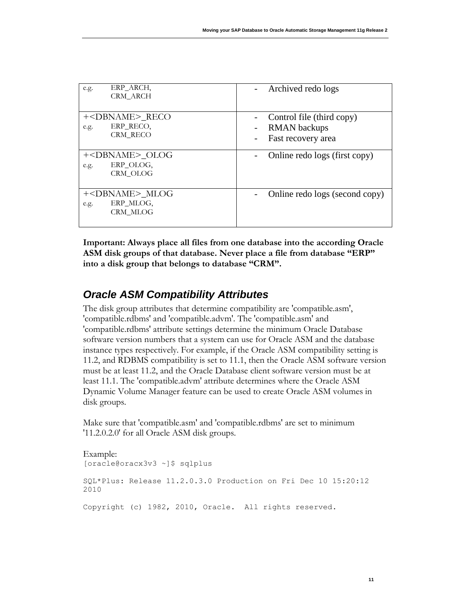| ERP ARCH,<br>e.g.<br><b>CRM ARCH</b>                                | Archived redo logs                                                     |
|---------------------------------------------------------------------|------------------------------------------------------------------------|
| + <dbname>_RECO<br/>ERP RECO,<br/>e.g.<br/><b>CRM RECO</b></dbname> | Control file (third copy)<br><b>RMAN</b> backups<br>Fast recovery area |
| + <dbname> OLOG<br/>ERP OLOG.<br/>e.g.<br/>CRM OLOG</dbname>        | Online redo logs (first copy)                                          |
| + <dbname>_MLOG<br/>ERP MLOG,<br/>e.g.<br/>CRM MLOG</dbname>        | Online redo logs (second copy)                                         |

**Important: Always place all files from one database into the according Oracle ASM disk groups of that database. Never place a file from database "ERP" into a disk group that belongs to database "CRM".**

# <span id="page-11-0"></span>*Oracle ASM Compatibility Attributes*

The disk group attributes that determine compatibility are 'compatible.asm', 'compatible.rdbms' and 'compatible.advm'. The 'compatible.asm' and 'compatible.rdbms' attribute settings determine the minimum Oracle Database software version numbers that a system can use for Oracle ASM and the database instance types respectively. For example, if the Oracle ASM compatibility setting is 11.2, and RDBMS compatibility is set to 11.1, then the Oracle ASM software version must be at least 11.2, and the Oracle Database client software version must be at least 11.1. The 'compatible.advm' attribute determines where the Oracle ASM Dynamic Volume Manager feature can be used to create Oracle ASM volumes in disk groups.

Make sure that 'compatible.asm' and 'compatible.rdbms' are set to minimum '11.2.0.2.0' for all Oracle ASM disk groups.

```
Example:
[oracle@oracx3v3 ~]$ sqlplus
SQL*Plus: Release 11.2.0.3.0 Production on Fri Dec 10 15:20:12 
2010
Copyright (c) 1982, 2010, Oracle. All rights reserved.
```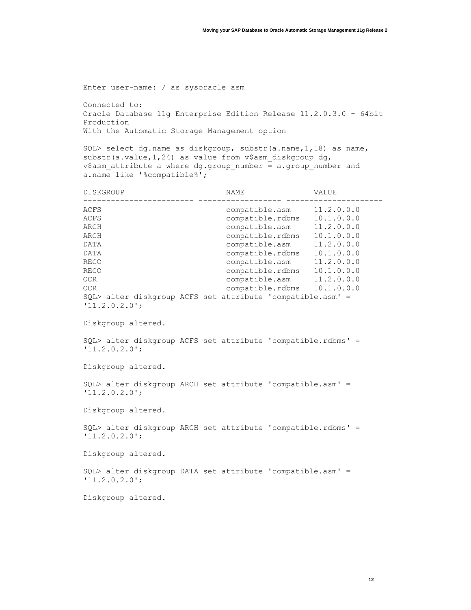Enter user-name: / as sysoracle asm

Connected to: Oracle Database 11g Enterprise Edition Release 11.2.0.3.0 - 64bit Production With the Automatic Storage Management option

SQL> select dg.name as diskgroup, substr(a.name,1,18) as name, substr(a.value, 1, 24) as value from v\$asm diskgroup dg, v\$asm attribute a where dg.group number = a.group number and a.name like '%compatible%';

| DISKGROUP                                                                                                                                                           | NAME                                                                                                                                                                                                                                                                    | VALUE                                  |
|---------------------------------------------------------------------------------------------------------------------------------------------------------------------|-------------------------------------------------------------------------------------------------------------------------------------------------------------------------------------------------------------------------------------------------------------------------|----------------------------------------|
| ACFS<br>ACFS<br>ARCH<br>ARCH<br>DATA<br>DATA<br>RECO<br><b>RECO</b><br>0CR<br>0CR<br>SQL> alter diskgroup ACFS set attribute 'compatible.asm' =<br>$'11.2.0.2.0$ '; | compatible.asm 11.2.0.0.0<br>compatible.rdbms 10.1.0.0.0<br>compatible.asm<br>compatible.rdbms 10.1.0.0.0<br>compatible.asm<br>compatible.rdbms<br>compatible.asm 11.2.0.0.0<br>compatible.rdbms 10.1.0.0.0<br>compatible.asm 11.2.0.0.0<br>compatible.rdbms 10.1.0.0.0 | 11.2.0.0.0<br>11.2.0.0.0<br>10.1.0.0.0 |
| Diskgroup altered.                                                                                                                                                  |                                                                                                                                                                                                                                                                         |                                        |
| SQL> alter diskgroup ACFS set attribute 'compatible.rdbms' =<br>$'11.2.0.2.0$ ';                                                                                    |                                                                                                                                                                                                                                                                         |                                        |
| Diskgroup altered.                                                                                                                                                  |                                                                                                                                                                                                                                                                         |                                        |
| SQL> alter diskgroup ARCH set attribute 'compatible.asm' =                                                                                                          |                                                                                                                                                                                                                                                                         |                                        |

Diskgroup altered.

'11.2.0.2.0';

SQL> alter diskgroup ARCH set attribute 'compatible.rdbms' = '11.2.0.2.0';

Diskgroup altered.

SQL> alter diskgroup DATA set attribute 'compatible.asm' = '11.2.0.2.0';

Diskgroup altered.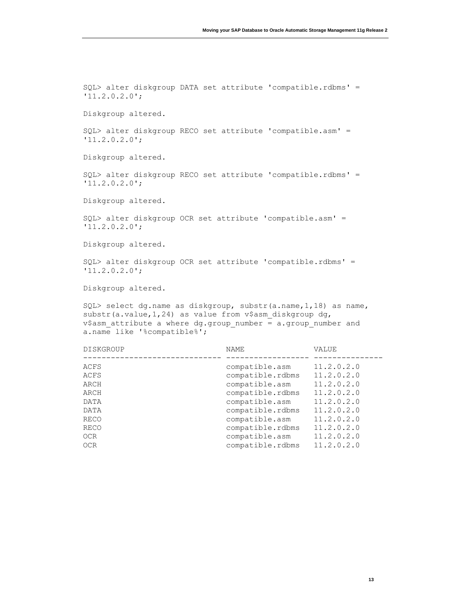SQL> alter diskgroup DATA set attribute 'compatible.rdbms' = '11.2.0.2.0'; Diskgroup altered. SQL> alter diskgroup RECO set attribute 'compatible.asm' = '11.2.0.2.0'; Diskgroup altered. SQL> alter diskgroup RECO set attribute 'compatible.rdbms' = '11.2.0.2.0'; Diskgroup altered. SQL> alter diskgroup OCR set attribute 'compatible.asm' = '11.2.0.2.0'; Diskgroup altered. SQL> alter diskgroup OCR set attribute 'compatible.rdbms' = '11.2.0.2.0'; Diskgroup altered. SQL> select dg.name as diskgroup, substr(a.name,1,18) as name, substr(a.value, 1, 24) as value from v\$asm diskgroup dg, v\$asm\_attribute a where dg.group\_number = a.group\_number and a.name like '%compatible%';

| <b>DISKGROUP</b> | NAME             | VALUE      |
|------------------|------------------|------------|
| ACFS             | compatible.asm   | 11.2.0.2.0 |
| ACFS             | compatible.rdbms | 11.2.0.2.0 |
| ARCH             | compatible.asm   | 11.2.0.2.0 |
| ARCH             | compatible.rdbms | 11.2.0.2.0 |
| DATA             | compatible.asm   | 11.2.0.2.0 |
| DATA             | compatible.rdbms | 11.2.0.2.0 |
| RECO             | compatible.asm   | 11.2.0.2.0 |
| <b>RECO</b>      | compatible.rdbms | 11.2.0.2.0 |
| 0CR              | compatible.asm   | 11.2.0.2.0 |
| 0CR              | compatible.rdbms | 11.2.0.2.0 |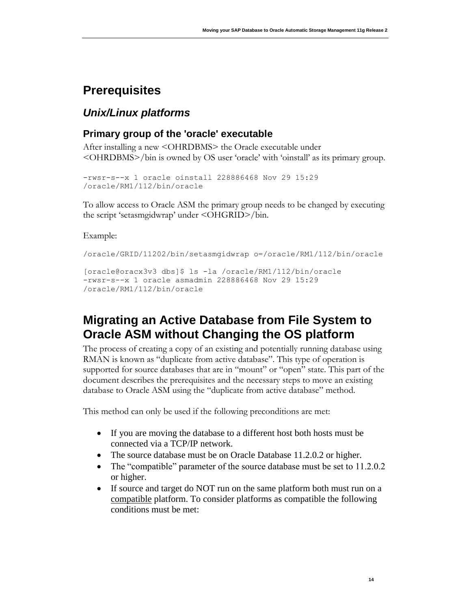# <span id="page-14-0"></span>**Prerequisites**

# <span id="page-14-1"></span>*Unix/Linux platforms*

## <span id="page-14-2"></span>**Primary group of the 'oracle' executable**

After installing a new <OHRDBMS> the Oracle executable under <OHRDBMS>/bin is owned by OS user 'oracle' with 'oinstall' as its primary group.

```
-rwsr-s--x 1 oracle oinstall 228886468 Nov 29 15:29 
/oracle/RM1/112/bin/oracle
```
To allow access to Oracle ASM the primary group needs to be changed by executing the script 'setasmgidwrap' under <OHGRID>/bin.

Example:

```
/oracle/GRID/11202/bin/setasmgidwrap o=/oracle/RM1/112/bin/oracle
```

```
[oracle@oracx3v3 dbs]$ ls -la /oracle/RM1/112/bin/oracle
-rwsr-s--x 1 oracle asmadmin 228886468 Nov 29 15:29 
/oracle/RM1/112/bin/oracle
```
# <span id="page-14-3"></span>**Migrating an Active Database from File System to Oracle ASM without Changing the OS platform**

The process of creating a copy of an existing and potentially running database using RMAN is known as "duplicate from active database". This type of operation is supported for source databases that are in "mount" or "open" state. This part of the document describes the prerequisites and the necessary steps to move an existing database to Oracle ASM using the "duplicate from active database" method.

This method can only be used if the following preconditions are met:

- If you are moving the database to a different host both hosts must be connected via a TCP/IP network.
- The source database must be on Oracle Database 11.2.0.2 or higher.
- The "compatible" parameter of the source database must be set to 11.2.0.2 or higher.
- If source and target do NOT run on the same platform both must run on a compatible platform. To consider platforms as compatible the following conditions must be met: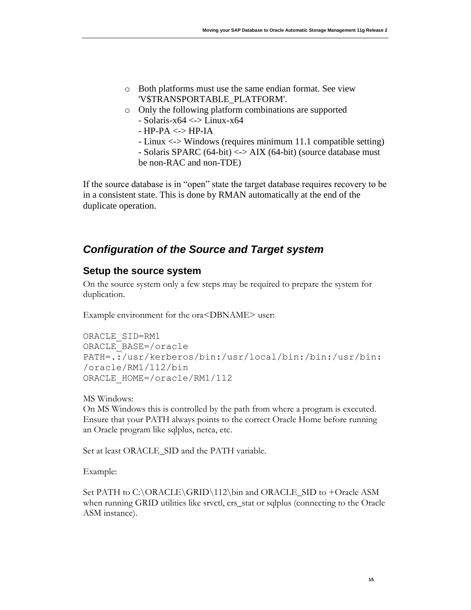- o Both platforms must use the same endian format. See view 'V\$TRANSPORTABLE\_PLATFORM'.
- o Only the following platform combinations are supported  $-$  Solaris-x64  $\lt$   $\gt$  Linux-x64
	- HP-PA <-> HP-IA
	- Linux <-> Windows (requires minimum 11.1 compatible setting) - Solaris SPARC (64-bit) <-> AIX (64-bit) (source database must be non-RAC and non-TDE)

If the source database is in "open" state the target database requires recovery to be in a consistent state. This is done by RMAN automatically at the end of the duplicate operation.

# <span id="page-15-0"></span>*Configuration of the Source and Target system*

#### <span id="page-15-1"></span>**Setup the source system**

On the source system only a few steps may be required to prepare the system for duplication.

Example environment for the ora<DBNAME> user:

```
ORACLE_SID=RM1
ORACLE_BASE=/oracle
PATH=.:/usr/kerberos/bin:/usr/local/bin:/bin:/usr/bin:
/oracle/RM1/112/bin
ORACLE_HOME=/oracle/RM1/112
```
MS Windows:

On MS Windows this is controlled by the path from where a program is executed. Ensure that your PATH always points to the correct Oracle Home before running an Oracle program like sqlplus, netca, etc.

Set at least ORACLE\_SID and the PATH variable.

Example:

Set PATH to C:\ORACLE\GRID\112\bin and ORACLE\_SID to +Oracle ASM when running GRID utilities like srvctl, crs\_stat or sqlplus (connecting to the Oracle ASM instance).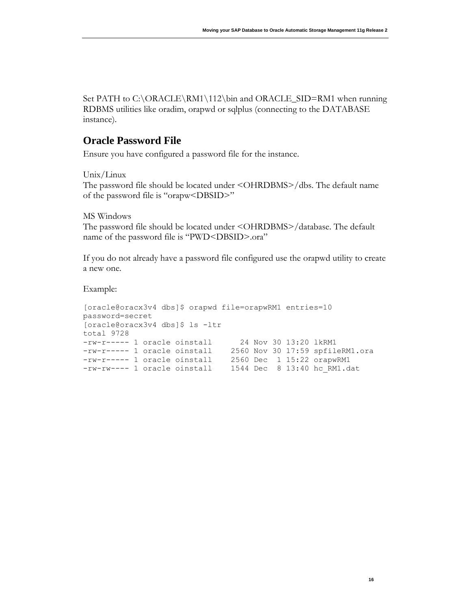Set PATH to C:\ORACLE\RM1\112\bin and ORACLE\_SID=RM1 when running RDBMS utilities like oradim, orapwd or sqlplus (connecting to the DATABASE instance).

### **Oracle Password File**

Ensure you have configured a password file for the instance.

Unix/Linux

The password file should be located under <OHRDBMS>/dbs. The default name of the password file is "orapw<DBSID>"

MS Windows

The password file should be located under <OHRDBMS>/database. The default name of the password file is "PWD<DBSID>.ora"

If you do not already have a password file configured use the orapwd utility to create a new one.

Example:

```
[oracle@oracx3v4 dbs]$ orapwd file=orapwRM1 entries=10 
password=secret
[oracle@oracx3v4 dbs]$ ls -ltr
total 9728
-rw-r----- 1 oracle oinstall 24 Nov 30 13:20 1kRM1
-rw-r----- 1 oracle oinstall 2560 Nov 30 17:59 spfileRM1.ora
-rw-r----- 1 oracle oinstall 2560 Dec 1 15:22 orapwRM1
-rw-rw---- 1 oracle oinstall 1544 Dec 8 13:40 hc RM1.dat
```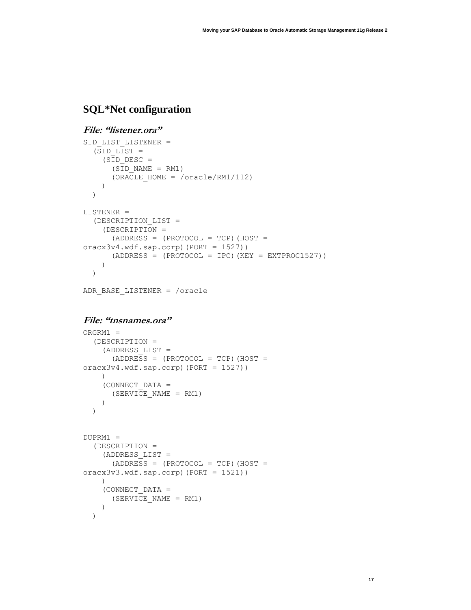# **SQL\*Net configuration**

#### **File: "listener.ora"**

```
SID LIST LISTENER =
  (SID LIST =(SID DESC =
      (SID NAME = RM1) (ORACLE_HOME = /oracle/RM1/112)
     )
   )
LISTENER =
   (DESCRIPTION_LIST =
     (DESCRIPTION =
      (ADDRESS = (PROTOCOL = TCP) (HOST =oracx3v4.wdf.sap.corp)(PORT = 1527))
      (ADDRESS = (PROTOCOL = IPC) (KEY = EXTPROC1527)) )
   )
```

```
ADR_BASE_LISTENER = /oracle
```
#### **File: "tnsnames.ora"**

```
ORGRM1 = (DESCRIPTION =
     (ADDRESS_LIST =
      (ADDRESS = (PROTOCOL = TCP) (HOST =oracx3v4.wdf.\nsqp.corp) (PORT = 1527))
     )
     (CONNECT_DATA =
      (SERVICE NAME = RM1) )
   )
DUPRM1 = (DESCRIPTION =
     (ADDRESS_LIST =
      (ADDRESS = (PROTOCOL = TCP) (HOST =oracx3v3.wdf.sap.corp)(PORT = 1521))
     )
     (CONNECT_DATA =
       (SERVICE_NAME = RM1)
     )
   )
```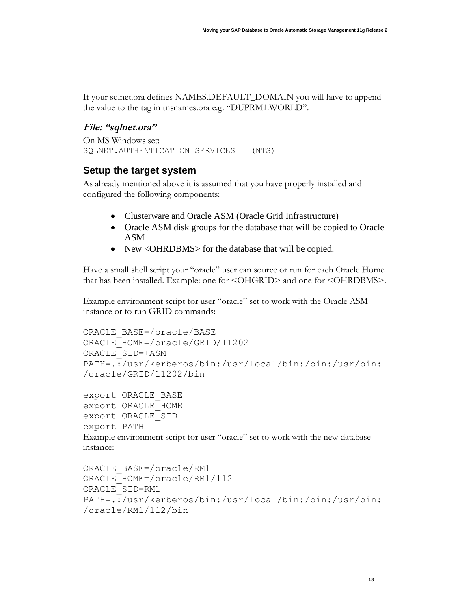If your sqlnet.ora defines NAMES.DEFAULT\_DOMAIN you will have to append the value to the tag in tnsnames.ora e.g. "DUPRM1.WORLD".

#### **File: "sqlnet.ora"**

```
On MS Windows set:
SQLNET.AUTHENTICATION SERVICES = (NTS)
```
## <span id="page-18-0"></span>**Setup the target system**

As already mentioned above it is assumed that you have properly installed and configured the following components:

- Clusterware and Oracle ASM (Oracle Grid Infrastructure)
- Oracle ASM disk groups for the database that will be copied to Oracle ASM
- New <OHRDBMS> for the database that will be copied.

Have a small shell script your "oracle" user can source or run for each Oracle Home that has been installed. Example: one for <OHGRID> and one for <OHRDBMS>.

Example environment script for user "oracle" set to work with the Oracle ASM instance or to run GRID commands:

```
ORACLE_BASE=/oracle/BASE
ORACLE_HOME=/oracle/GRID/11202
ORACLE_SID=+ASM
PATH=.:/usr/kerberos/bin:/usr/local/bin:/bin:/usr/bin:
/oracle/GRID/11202/bin
```

```
export ORACLE_BASE
export ORACLE_HOME
export ORACLE_SID
export PATH
Example environment script for user "oracle" set to work with the new database 
instance:
```

```
ORACLE_BASE=/oracle/RM1
ORACLE_HOME=/oracle/RM1/112
ORACLE_SID=RM1
PATH=.:/usr/kerberos/bin:/usr/local/bin:/bin:/usr/bin:
/oracle/RM1/112/bin
```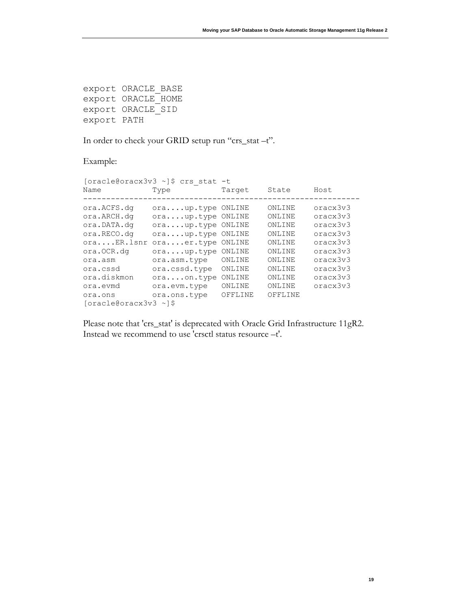export ORACLE\_BASE export ORACLE\_HOME export ORACLE\_SID export PATH

In order to check your GRID setup run "crs\_stat –t".

Example:

|                          | [oracle@oracx3v3 ~]\$ crs stat -t |         |         |          |
|--------------------------|-----------------------------------|---------|---------|----------|
| Name                     | Type                              | Target  | State   | Host     |
| ora.ACFS.dq              | oraup.type ONLINE                 |         | ONLINE  | oracx3v3 |
| ora.ARCH.dq              | oraup.type ONLINE                 |         | ONLINE  | oracx3v3 |
| ora.DATA.dq              | oraup.type ONLINE                 |         | ONLINE  | oracx3v3 |
| ora.RECO.dq              | oraup.type ONLINE                 |         | ONLINE  | oracx3v3 |
| oraER.lsnr               | oraer.type ONLINE                 |         | ONLINE  | oracx3v3 |
| ora.OCR.dq               | oraup.type                        | ONLINE  | ONLINE  | oracx3v3 |
| ora.asm                  | ora.asm.type                      | ONLINE  | ONLINE  | oracx3v3 |
| ora.cssd                 | ora.cssd.type                     | ONLINE  | ONLINE  | oracx3v3 |
| ora.diskmon              | oraon.type                        | ONLINE  | ONLINE  | oracx3v3 |
| ora.evmd                 | ora.evm.type                      | ONLINE  | ONLINE  | oracx3v3 |
| ora.ons                  | ora.ons.type                      | OFFLINE | OFFLINE |          |
| $[oracle@oracx3v3 \sim]$ |                                   |         |         |          |

Please note that 'crs\_stat' is deprecated with Oracle Grid Infrastructure 11gR2. Instead we recommend to use 'crsctl status resource –t'.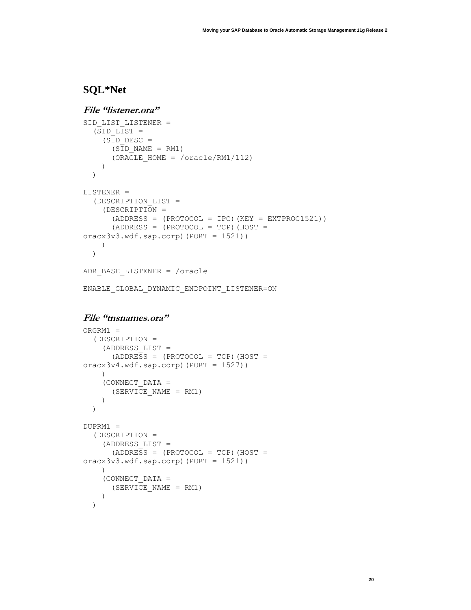# **SQL\*Net**

```
File "listener.ora"
SID LIST LISTENER =
  (SID LIST =
    (SID DESC =
      (SID NAME = RM1) (ORACLE_HOME = /oracle/RM1/112)
     )
   )
LISTENER =
   (DESCRIPTION_LIST =
```

```
 (DESCRIPTION =
      (ADDRESS = (PROTOCOL = IPC) (KEY = EXTPROC1521))(ADDRESS = (PROTOCOL = TCP) (HOST =oracx3v3.wdf.sap.corp)(PORT = 1521))
   \rightarrow )
```

```
ADR_BASE_LISTENER = /oracle
```

```
ENABLE_GLOBAL_DYNAMIC_ENDPOINT_LISTENER=ON
```
#### **File "tnsnames.ora"**

```
ORGRM1 = (DESCRIPTION =
     (ADDRESS_LIST =
      (ADDRESS = (PROTOCOL = TCP) (HOST =oracx3v4.wdf.sap.corp)(PORT = 1527))
    \lambda (CONNECT_DATA =
       (SERVICE_NAME = RM1)
     )
   )
DUPRM1 = (DESCRIPTION =
     (ADDRESS_LIST =
      (ADDRESS = (PROTOCOL = TCP) (HOST =oracx3v3.wdf.sap.corp)(PORT = 1521))
    ) (CONNECT_DATA =
       (SERVICE_NAME = RM1)
     )
   )
```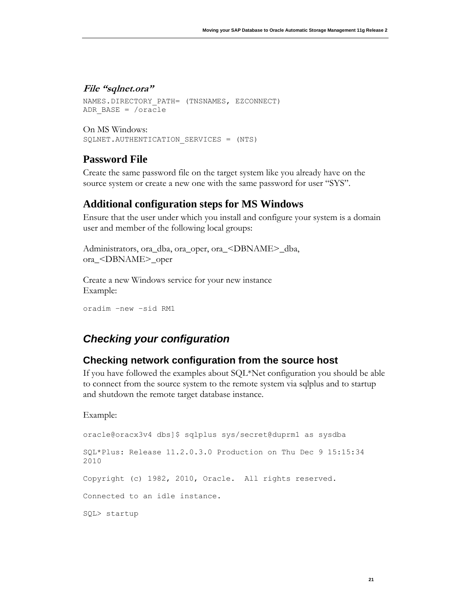#### **File "sqlnet.ora"**

```
NAMES.DIRECTORY PATH= (TNSNAMES, EZCONNECT)
ADR_BASE = /oracle
```

```
On MS Windows:
SQLNET.AUTHENTICATION SERVICES = (NTS)
```
#### **Password File**

Create the same password file on the target system like you already have on the source system or create a new one with the same password for user "SYS".

#### **Additional configuration steps for MS Windows**

Ensure that the user under which you install and configure your system is a domain user and member of the following local groups:

```
Administrators, ora_dba, ora_oper, ora_<DBNAME>_dba, 
ora_<DBNAME>_oper
```
Create a new Windows service for your new instance Example:

```
oradim –new –sid RM1
```
# <span id="page-21-0"></span>*Checking your configuration*

#### <span id="page-21-1"></span>**Checking network configuration from the source host**

If you have followed the examples about SQL\*Net configuration you should be able to connect from the source system to the remote system via sqlplus and to startup and shutdown the remote target database instance.

Example:

```
oracle@oracx3v4 dbs]$ sqlplus sys/secret@duprm1 as sysdba
SQL*Plus: Release 11.2.0.3.0 Production on Thu Dec 9 15:15:34 
2010
Copyright (c) 1982, 2010, Oracle. All rights reserved.
Connected to an idle instance.
SQL> startup
```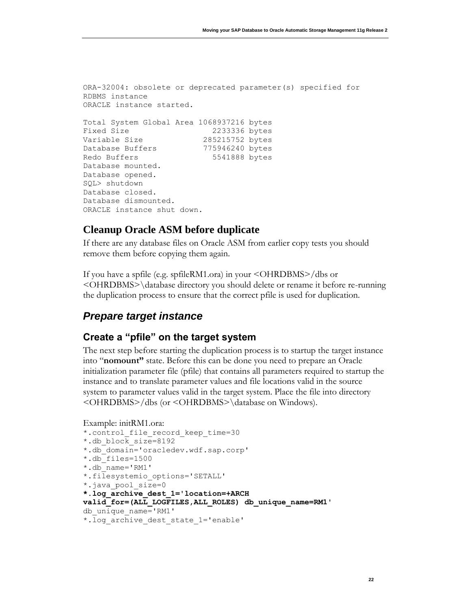```
ORA-32004: obsolete or deprecated parameter(s) specified for 
RDBMS instance
ORACLE instance started.
Total System Global Area 1068937216 bytes
Fixed Size 2233336 bytes
Variable Size 285215752 bytes
Database Buffers 775946240 bytes
Redo Buffers 65541888 bytes
Database mounted.
Database opened.
SQL> shutdown
Database closed.
Database dismounted.
ORACLE instance shut down.
```
### **Cleanup Oracle ASM before duplicate**

If there are any database files on Oracle ASM from earlier copy tests you should remove them before copying them again.

If you have a spfile (e.g. spfileRM1.ora) in your <OHRDBMS>/dbs or <OHRDBMS>\database directory you should delete or rename it before re-running the duplication process to ensure that the correct pfile is used for duplication.

### <span id="page-22-0"></span>*Prepare target instance*

#### <span id="page-22-1"></span>**Create a "pfile" on the target system**

The next step before starting the duplication process is to startup the target instance into "**nomount"** state. Before this can be done you need to prepare an Oracle initialization parameter file (pfile) that contains all parameters required to startup the instance and to translate parameter values and file locations valid in the source system to parameter values valid in the target system. Place the file into directory <OHRDBMS>/dbs (or <OHRDBMS>\database on Windows).

```
Example: initRM1.ora:
```

```
*.control_file_record_keep_time=30
*.db_block_size=8192
*.db_domain='oracledev.wdf.sap.corp'
*.db_files=1500
*.db_name='RM1'
*.filesystemio_options='SETALL'
*.java_pool_size=0
*.log_archive_dest_1='location=+ARCH 
valid for=(ALL LOGFILES, ALL ROLES) db unique name=RM1'
db_unique_name='RM1'
*.log_archive_dest_state_1='enable'
```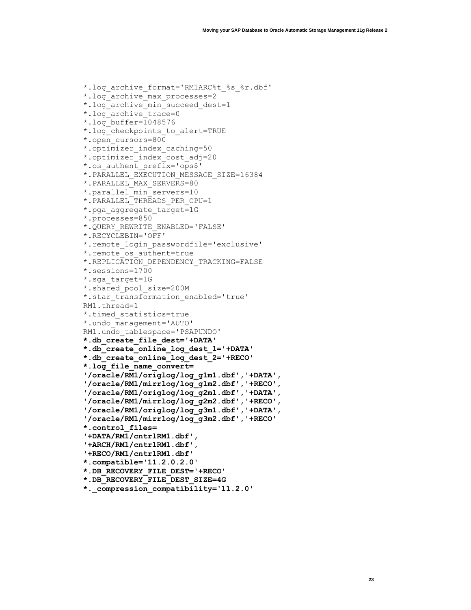```
*.log_archive_format='RM1ARC%t_%s_%r.dbf'
*.log_archive_max_processes=2
*.log archive min succeed dest=1
*.log_archive_trace=0
*.log_buffer=1048576
*.log_checkpoints_to_alert=TRUE
*.open_cursors=800
*.optimizer_index_caching=50
*.optimizer_index_cost_adj=20
*.os_authent_prefix='ops$'
*.PARALLEL_EXECUTION_MESSAGE_SIZE=16384
*.PARALLEL_MAX_SERVERS=80
*.parallel_min_servers=10
*.PARALLEL_THREADS_PER_CPU=1
*.pga aggregate target=1G
*.processes=850
*.QUERY_REWRITE_ENABLED='FALSE'
*.RECYCLEBIN='OFF'
*.remote_login_passwordfile='exclusive'
*.remote_os_authent=true
*.REPLICATION_DEPENDENCY_TRACKING=FALSE
*.sessions=1700
*.sga_target=1G
*.shared_pool_size=200M
*.star transformation enabled='true'
RM1.thread=1
*.timed_statistics=true
*.undo_management='AUTO'
RM1.undo_tablespace='PSAPUNDO'
*.db_create_file_dest='+DATA'
*.db_create_online_log_dest_1='+DATA'
*.db_create_online_log_dest_2='+RECO'
*.log_file_name_convert=
'/oracle/RM1/origlog/log_g1m1.dbf','+DATA',
'/oracle/RM1/mirrlog/log_g1m2.dbf','+RECO',
'/oracle/RM1/origlog/log_g2m1.dbf','+DATA',
'/oracle/RM1/mirrlog/log_g2m2.dbf','+RECO',
'/oracle/RM1/origlog/log_g3m1.dbf','+DATA',
'/oracle/RM1/mirrlog/log_g3m2.dbf','+RECO'
*.control_files=
'+DATA/RM1/cntrlRM1.dbf',
'+ARCH/RM1/cntrlRM1.dbf',
'+RECO/RM1/cntrlRM1.dbf'
*.compatible='11.2.0.2.0'
*.DB_RECOVERY_FILE_DEST='+RECO'
*.DB_RECOVERY_FILE_DEST_SIZE=4G
*._compression_compatibility='11.2.0'
```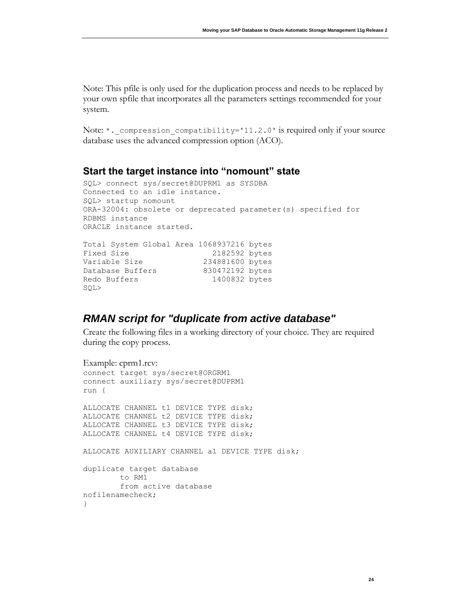Note: This pfile is only used for the duplication process and needs to be replaced by your own spfile that incorporates all the parameters settings recommended for your system.

Note: \*. compression compatibility='11.2.0' is required only if your source database uses the advanced compression option (ACO).

#### <span id="page-24-0"></span>**Start the target instance into "nomount" state**

```
SQL> connect sys/secret@DUPRM1 as SYSDBA
Connected to an idle instance.
SQL> startup nomount
ORA-32004: obsolete or deprecated parameter(s) specified for 
RDBMS instance
ORACLE instance started.
Total System Global Area 1068937216 bytes
Fixed Size 2182592 bytes
Variable Size 234881600 bytes
Database Buffers 830472192 bytes
Redo Buffers 1400832 bytes
SQL>
```
## <span id="page-24-1"></span>*RMAN script for "duplicate from active database"*

Create the following files in a working directory of your choice. They are required during the copy process.

```
Example: cprm1.rcv:
connect target sys/secret@ORGRM1
connect auxiliary sys/secret@DUPRM1
run {
ALLOCATE CHANNEL t1 DEVICE TYPE disk;
ALLOCATE CHANNEL t2 DEVICE TYPE disk;
ALLOCATE CHANNEL t3 DEVICE TYPE disk;
ALLOCATE CHANNEL t4 DEVICE TYPE disk;
ALLOCATE AUXILIARY CHANNEL a1 DEVICE TYPE disk;
duplicate target database
         to RM1
         from active database
nofilenamecheck;
}
```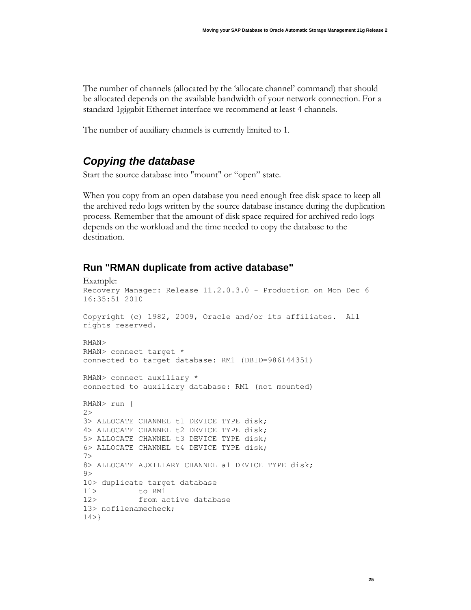The number of channels (allocated by the 'allocate channel' command) that should be allocated depends on the available bandwidth of your network connection. For a standard 1gigabit Ethernet interface we recommend at least 4 channels.

The number of auxiliary channels is currently limited to 1.

# <span id="page-25-0"></span>*Copying the database*

Start the source database into "mount" or "open" state.

When you copy from an open database you need enough free disk space to keep all the archived redo logs written by the source database instance during the duplication process. Remember that the amount of disk space required for archived redo logs depends on the workload and the time needed to copy the database to the destination.

### <span id="page-25-1"></span>**Run "RMAN duplicate from active database"**

```
Example:
Recovery Manager: Release 11.2.0.3.0 - Production on Mon Dec 6 
16:35:51 2010
Copyright (c) 1982, 2009, Oracle and/or its affiliates. All 
rights reserved.
RMAN>
RMAN> connect target *
connected to target database: RM1 (DBID=986144351)
RMAN> connect auxiliary *
connected to auxiliary database: RM1 (not mounted)
RMAN> run {
2>
3> ALLOCATE CHANNEL t1 DEVICE TYPE disk;
4> ALLOCATE CHANNEL t2 DEVICE TYPE disk;
5> ALLOCATE CHANNEL t3 DEVICE TYPE disk;
6> ALLOCATE CHANNEL t4 DEVICE TYPE disk;
7>
8> ALLOCATE AUXILIARY CHANNEL a1 DEVICE TYPE disk;
9>
10> duplicate target database
11> to RM1
12> from active database
13> nofilenamecheck;
14>}
```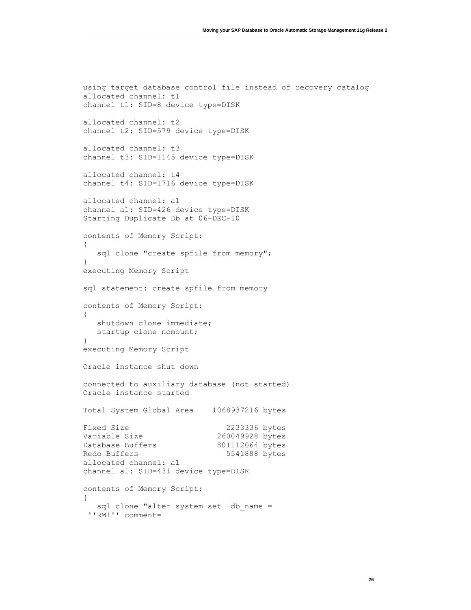```
using target database control file instead of recovery catalog
allocated channel: t1
channel t1: SID=8 device type=DISK
allocated channel: t2
channel t2: SID=579 device type=DISK
allocated channel: t3
channel t3: SID=1145 device type=DISK
allocated channel: t4
channel t4: SID=1716 device type=DISK
allocated channel: a1
channel a1: SID=426 device type=DISK
Starting Duplicate Db at 06-DEC-10
contents of Memory Script:
{
  sql clone "create spfile from memory";
}
executing Memory Script
sql statement: create spfile from memory
contents of Memory Script:
{
   shutdown clone immediate;
   startup clone nomount;
}
executing Memory Script
Oracle instance shut down
connected to auxiliary database (not started)
Oracle instance started
Total System Global Area 1068937216 bytes
Fixed Size 2233336 bytes
Variable Size 260049928 bytes
Database Buffers 801112064 bytes
Redo Buffers 5541888 bytes
allocated channel: a1
channel a1: SID=431 device type=DISK
contents of Memory Script:
{
  sql clone "alter system set db name =
 ''RM1'' comment=
```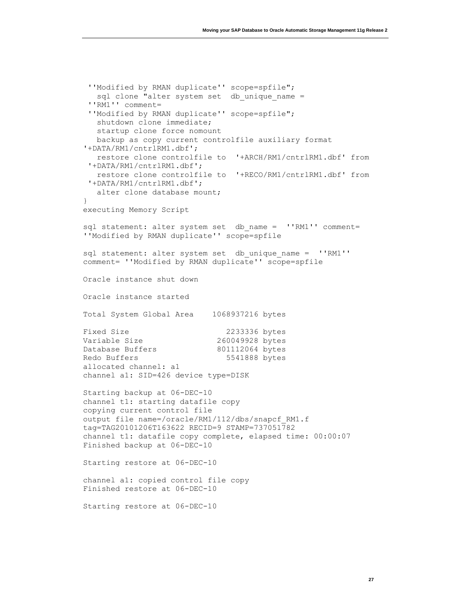```
''Modified by RMAN duplicate'' scope=spfile";
  sql clone "alter system set db unique name =
 ''RM1'' comment=
 ''Modified by RMAN duplicate'' scope=spfile";
   shutdown clone immediate;
   startup clone force nomount
   backup as copy current controlfile auxiliary format 
'+DATA/RM1/cntrlRM1.dbf';
   restore clone controlfile to '+ARCH/RM1/cntrlRM1.dbf' from
 '+DATA/RM1/cntrlRM1.dbf';
    restore clone controlfile to '+RECO/RM1/cntrlRM1.dbf' from
 '+DATA/RM1/cntrlRM1.dbf';
   alter clone database mount;
}
executing Memory Script
sql statement: alter system set db name = ''RM1'' comment=
''Modified by RMAN duplicate'' scope=spfile
sql statement: alter system set db unique name = ''RM1''
comment= ''Modified by RMAN duplicate'' scope=spfile
Oracle instance shut down
Oracle instance started
Total System Global Area 1068937216 bytes
Fixed Size 2233336 bytes
Variable Size 260049928 bytes
Database Buffers 801112064 bytes
Redo Buffers 5541888 bytes
allocated channel: a1
channel a1: SID=426 device type=DISK
Starting backup at 06-DEC-10
channel t1: starting datafile copy
copying current control file
output file name=/oracle/RM1/112/dbs/snapcf_RM1.f 
tag=TAG20101206T163622 RECID=9 STAMP=737051782
channel t1: datafile copy complete, elapsed time: 00:00:07
Finished backup at 06-DEC-10
Starting restore at 06-DEC-10
channel a1: copied control file copy
Finished restore at 06-DEC-10
Starting restore at 06-DEC-10
```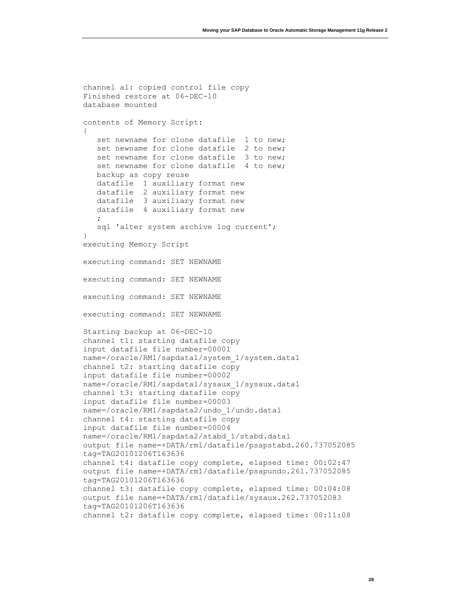```
channel a1: copied control file copy
Finished restore at 06-DEC-10
database mounted
contents of Memory Script:
{
  set newname for clone datafile 1 to new;
  set newname for clone datafile 2 to new;
  set newname for clone datafile 3 to new;
  set newname for clone datafile 4 to new;
   backup as copy reuse
   datafile 1 auxiliary format new
   datafile 2 auxiliary format new
   datafile 3 auxiliary format new
   datafile 4 auxiliary format new
\mathcal{L} sql 'alter system archive log current';
}
executing Memory Script
executing command: SET NEWNAME
executing command: SET NEWNAME
executing command: SET NEWNAME
executing command: SET NEWNAME
Starting backup at 06-DEC-10
channel t1: starting datafile copy
input datafile file number=00001 
name=/oracle/RM1/sapdata1/system_1/system.data1
channel t2: starting datafile copy
input datafile file number=00002 
name=/oracle/RM1/sapdata1/sysaux_1/sysaux.data1
channel t3: starting datafile copy
input datafile file number=00003 
name=/oracle/RM1/sapdata2/undo_1/undo.data1
channel t4: starting datafile copy
input datafile file number=00004 
name=/oracle/RM1/sapdata2/stabd_1/stabd.data1
output file name=+DATA/rm1/datafile/psapstabd.260.737052085 
tag=TAG20101206T163636
channel t4: datafile copy complete, elapsed time: 00:02:47
output file name=+DATA/rm1/datafile/psapundo.261.737052085 
tag=TAG20101206T163636
channel t3: datafile copy complete, elapsed time: 00:04:08
output file name=+DATA/rm1/datafile/sysaux.262.737052083 
tag=TAG20101206T163636
channel t2: datafile copy complete, elapsed time: 00:11:08
```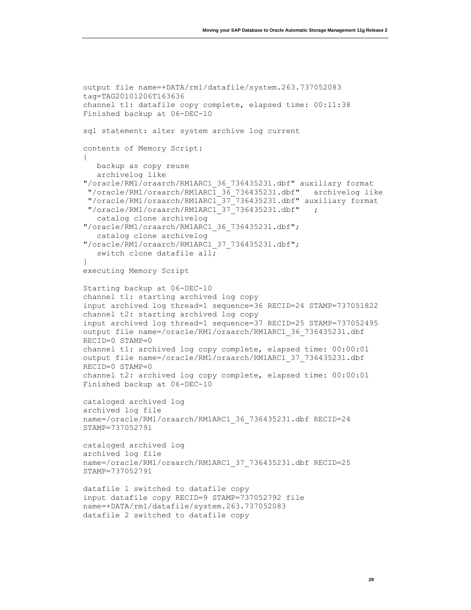```
output file name=+DATA/rm1/datafile/system.263.737052083 
tag=TAG20101206T163636
channel t1: datafile copy complete, elapsed time: 00:11:38
Finished backup at 06-DEC-10
sql statement: alter system archive log current
contents of Memory Script:
{
   backup as copy reuse
    archivelog like 
"/oracle/RM1/oraarch/RM1ARC1_36_736435231.dbf" auxiliary format
 "/oracle/RM1/oraarch/RM1ARC1_36_736435231.dbf" archivelog like
 "/oracle/RM1/oraarch/RM1ARC1_37_736435231.dbf" auxiliary format
 "/oracle/RM1/oraarch/RM1ARC1_37_736435231.dbf" ;
    catalog clone archivelog 
"/oracle/RM1/oraarch/RM1ARC1_36_736435231.dbf";
    catalog clone archivelog 
"/oracle/RM1/oraarch/RM1ARC1_37_736435231.dbf";
   switch clone datafile all;
}
executing Memory Script
Starting backup at 06-DEC-10
channel t1: starting archived log copy
input archived log thread=1 sequence=36 RECID=24 STAMP=737051822
channel t2: starting archived log copy
input archived log thread=1 sequence=37 RECID=25 STAMP=737052495
output file name=/oracle/RM1/oraarch/RM1ARC1_36_736435231.dbf 
RECID=0 STAMP=0
channel t1: archived log copy complete, elapsed time: 00:00:01
output file name=/oracle/RM1/oraarch/RM1ARC1_37_736435231.dbf 
RECID=0 STAMP=0
channel t2: archived log copy complete, elapsed time: 00:00:01
Finished backup at 06-DEC-10
cataloged archived log
archived log file 
name=/oracle/RM1/oraarch/RM1ARC1_36_736435231.dbf RECID=24 
STAMP=737052791
cataloged archived log
archived log file 
name=/oracle/RM1/oraarch/RM1ARC1_37_736435231.dbf RECID=25 
STAMP=737052791
datafile 1 switched to datafile copy
input datafile copy RECID=9 STAMP=737052792 file 
name=+DATA/rm1/datafile/system.263.737052083
datafile 2 switched to datafile copy
```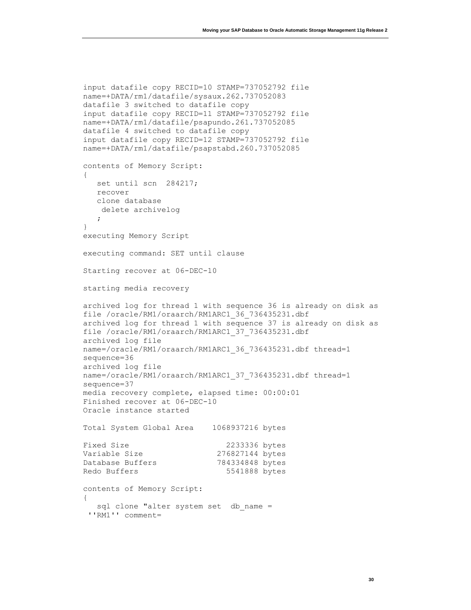```
input datafile copy RECID=10 STAMP=737052792 file 
name=+DATA/rm1/datafile/sysaux.262.737052083
datafile 3 switched to datafile copy
input datafile copy RECID=11 STAMP=737052792 file 
name=+DATA/rm1/datafile/psapundo.261.737052085
datafile 4 switched to datafile copy
input datafile copy RECID=12 STAMP=737052792 file 
name=+DATA/rm1/datafile/psapstabd.260.737052085
contents of Memory Script:
{
   set until scn 284217;
   recover
   clone database
    delete archivelog
    ;
}
executing Memory Script
executing command: SET until clause
Starting recover at 06-DEC-10
starting media recovery
archived log for thread 1 with sequence 36 is already on disk as 
file /oracle/RM1/oraarch/RM1ARC1_36_736435231.dbf
archived log for thread 1 with sequence 37 is already on disk as 
file /oracle/RM1/oraarch/RM1ARC1_37_736435231.dbf
archived log file 
name=/oracle/RM1/oraarch/RM1ARC1_36_736435231.dbf thread=1 
sequence=36
archived log file 
name=/oracle/RM1/oraarch/RM1ARC1_37_736435231.dbf thread=1 
sequence=37
media recovery complete, elapsed time: 00:00:01
Finished recover at 06-DEC-10
Oracle instance started
Total System Global Area 1068937216 bytes
Fixed Size 2233336 bytes
Variable Size 276827144 bytes
Database Buffers 784334848 bytes
Redo Buffers 5541888 bytes
contents of Memory Script:
{
  sql clone "alter system set db name =
 ''RM1'' comment=
```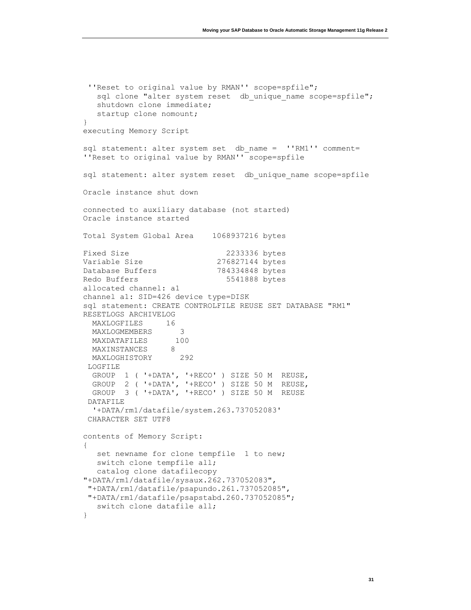```
''Reset to original value by RMAN'' scope=spfile";
  sql clone "alter system reset db unique_name scope=spfile";
    shutdown clone immediate;
   startup clone nomount;
}
executing Memory Script
sql statement: alter system set db name = ''RM1'' comment=
''Reset to original value by RMAN'' scope=spfile
sql statement: alter system reset db unique name scope=spfile
Oracle instance shut down
connected to auxiliary database (not started)
Oracle instance started
Total System Global Area 1068937216 bytes
Fixed Size 2233336 bytes
Variable Size 276827144 bytes
Database Buffers 784334848 bytes
Redo Buffers 5541888 bytes
allocated channel: a1
channel a1: SID=426 device type=DISK
sql statement: CREATE CONTROLFILE REUSE SET DATABASE "RM1" 
RESETLOGS ARCHIVELOG
  MAXLOGFILES 16
  MAXLOGMEMBERS 3
  MAXDATAFILES 100
 MAXINSTANCES 8
  MAXLOGHISTORY 292
LOGFILE
  GROUP 1 ( '+DATA', '+RECO' ) SIZE 50 M REUSE,
  GROUP 2 ( '+DATA', '+RECO' ) SIZE 50 M REUSE,
  GROUP 3 ( '+DATA', '+RECO' ) SIZE 50 M REUSE
 DATAFILE
   '+DATA/rm1/datafile/system.263.737052083'
 CHARACTER SET UTF8
contents of Memory Script:
{
  set newname for clone tempfile 1 to new;
   switch clone tempfile all;
   catalog clone datafilecopy 
"+DATA/rm1/datafile/sysaux.262.737052083",
 "+DATA/rm1/datafile/psapundo.261.737052085",
 "+DATA/rm1/datafile/psapstabd.260.737052085";
   switch clone datafile all;
}
```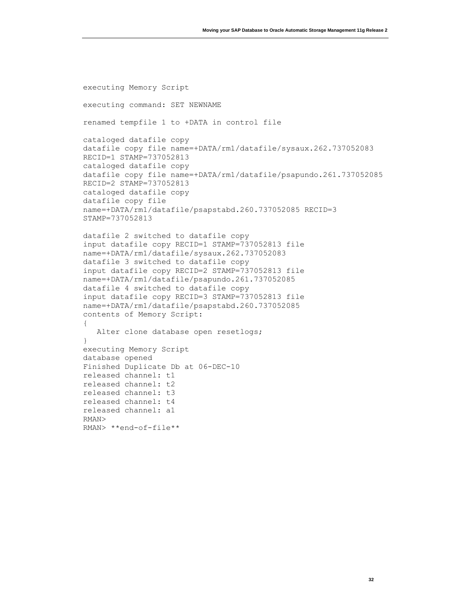executing Memory Script executing command: SET NEWNAME renamed tempfile 1 to +DATA in control file cataloged datafile copy datafile copy file name=+DATA/rm1/datafile/sysaux.262.737052083 RECID=1 STAMP=737052813 cataloged datafile copy datafile copy file name=+DATA/rm1/datafile/psapundo.261.737052085 RECID=2 STAMP=737052813 cataloged datafile copy datafile copy file name=+DATA/rm1/datafile/psapstabd.260.737052085 RECID=3 STAMP=737052813 datafile 2 switched to datafile copy input datafile copy RECID=1 STAMP=737052813 file name=+DATA/rm1/datafile/sysaux.262.737052083 datafile 3 switched to datafile copy input datafile copy RECID=2 STAMP=737052813 file name=+DATA/rm1/datafile/psapundo.261.737052085 datafile 4 switched to datafile copy input datafile copy RECID=3 STAMP=737052813 file name=+DATA/rm1/datafile/psapstabd.260.737052085 contents of Memory Script: { Alter clone database open resetlogs; } executing Memory Script database opened Finished Duplicate Db at 06-DEC-10 released channel: t1 released channel: t2 released channel: t3 released channel: t4 released channel: a1 RMAN>

RMAN> \*\*end-of-file\*\*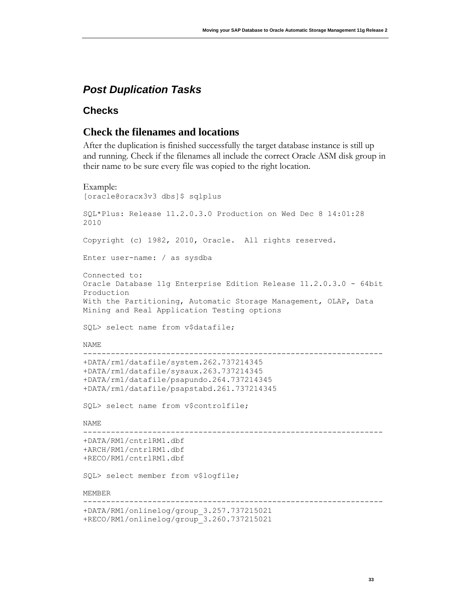# <span id="page-33-0"></span>*Post Duplication Tasks*

#### <span id="page-33-1"></span>**Checks**

## **Check the filenames and locations**

After the duplication is finished successfully the target database instance is still up and running. Check if the filenames all include the correct Oracle ASM disk group in their name to be sure every file was copied to the right location.

```
Example:
[oracle@oracx3v3 dbs]$ sqlplus
SQL*Plus: Release 11.2.0.3.0 Production on Wed Dec 8 14:01:28 
2010
Copyright (c) 1982, 2010, Oracle. All rights reserved.
Enter user-name: / as sysdba
Connected to:
Oracle Database 11g Enterprise Edition Release 11.2.0.3.0 - 64bit 
Production
With the Partitioning, Automatic Storage Management, OLAP, Data 
Mining and Real Application Testing options
SQL> select name from v$datafile;
NAME
-----------------------------------------------------------------
+DATA/rm1/datafile/system.262.737214345
+DATA/rm1/datafile/sysaux.263.737214345
+DATA/rm1/datafile/psapundo.264.737214345
+DATA/rm1/datafile/psapstabd.261.737214345
SQL> select name from v$controlfile;
NAME
-----------------------------------------------------------------
+DATA/RM1/cntrlRM1.dbf
+ARCH/RM1/cntrlRM1.dbf
+RECO/RM1/cntrlRM1.dbf
SQL> select member from v$logfile;
MEMBER
-----------------------------------------------------------------
+DATA/RM1/onlinelog/group_3.257.737215021
+RECO/RM1/onlinelog/group_3.260.737215021
```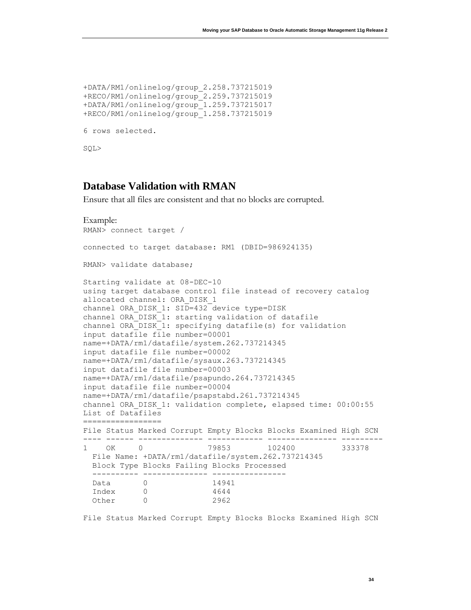```
+DATA/RM1/onlinelog/group_2.258.737215019
+RECO/RM1/onlinelog/group_2.259.737215019
+DATA/RM1/onlinelog/group_1.259.737215017
+RECO/RM1/onlinelog/group_1.258.737215019
6 rows selected.
SQL>
```
#### **Database Validation with RMAN**

Ensure that all files are consistent and that no blocks are corrupted.

```
Example:
RMAN> connect target /
connected to target database: RM1 (DBID=986924135)
RMAN> validate database;
Starting validate at 08-DEC-10
using target database control file instead of recovery catalog
allocated channel: ORA_DISK_1
channel ORA DISK 1: SID=432 device type=DISK
channel ORA_DISK_1: starting validation of datafile
channel ORA DISK 1: specifying datafile(s) for validation
input datafile file number=00001 
name=+DATA/rm1/datafile/system.262.737214345
input datafile file number=00002 
name=+DATA/rm1/datafile/sysaux.263.737214345
input datafile file number=00003 
name=+DATA/rm1/datafile/psapundo.264.737214345
input datafile file number=00004 
name=+DATA/rm1/datafile/psapstabd.261.737214345
channel ORA_DISK_1: validation complete, elapsed time: 00:00:55
List of Datafiles
=================
File Status Marked Corrupt Empty Blocks Blocks Examined High SCN
---- ------ -------------- ------------ --------------- ---------
1 OK 0 79853 102400 333378 
  File Name: +DATA/rm1/datafile/system.262.737214345
  Block Type Blocks Failing Blocks Processed
   ---------- -------------- ----------------
  Data 0 14941 
  Index 0 4644 
  Other 0 2962
```
File Status Marked Corrupt Empty Blocks Blocks Examined High SCN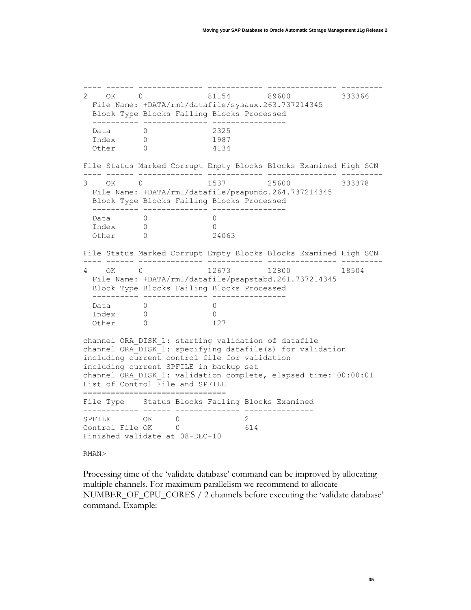---- ------ -------------- ------------ --------------- --------- 2 OK 0 81154 89600 333366 File Name: +DATA/rm1/datafile/sysaux.263.737214345 Block Type Blocks Failing Blocks Processed ---------- -------------- ---------------- Data 0 2325 Index 0 1987 Other 0 4134 File Status Marked Corrupt Empty Blocks Blocks Examined High SCN ---- ------ -------------- ------------ --------------- --------- 3 OK 0 1537 25600 333378 File Name: +DATA/rm1/datafile/psapundo.264.737214345 Block Type Blocks Failing Blocks Processed ---------- -------------- ---------------- Data 0 0<br>
Index 0 0 Index 0 0 Other 0 24063 File Status Marked Corrupt Empty Blocks Blocks Examined High SCN ---- ------ -------------- ------------ --------------- --------- 4 OK 0 12673 12800 18504 File Name: +DATA/rm1/datafile/psapstabd.261.737214345 Block Type Blocks Failing Blocks Processed ---------- -------------- ---------------- Data 0 0 0<br>
Index 0 0 Index 0 0 Other 0 127 channel ORA\_DISK\_1: starting validation of datafile channel ORA\_DISK\_1: specifying datafile(s) for validation including current control file for validation including current SPFILE in backup set channel ORA\_DISK\_1: validation complete, elapsed time: 00:00:01 List of Control File and SPFILE =============================== File Type Status Blocks Failing Blocks Examined ------------ ------ -------------- --------------- SPFILE OK 0<br>Control File OK 0 61 Control File OK 0 614 Finished validate at 08-DEC-10 RMAN>

Processing time of the 'validate database' command can be improved by allocating multiple channels. For maximum parallelism we recommend to allocate NUMBER\_OF\_CPU\_CORES / 2 channels before executing the 'validate database' command. Example: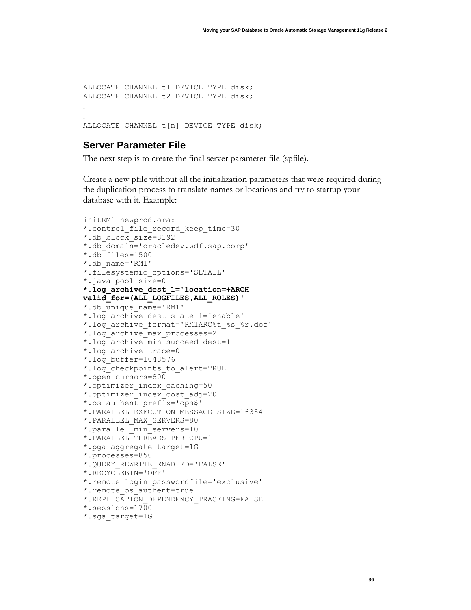ALLOCATE CHANNEL t1 DEVICE TYPE disk; ALLOCATE CHANNEL t2 DEVICE TYPE disk; . . ALLOCATE CHANNEL t[n] DEVICE TYPE disk;

#### <span id="page-36-0"></span>**Server Parameter File**

The next step is to create the final server parameter file (spfile).

Create a new pfile without all the initialization parameters that were required during the duplication process to translate names or locations and try to startup your database with it. Example:

```
initRM1_newprod.ora:
*.control_file_record_keep_time=30
*.db_block_size=8192
*.db_domain='oracledev.wdf.sap.corp'
*.db_files=1500
*.db_name='RM1'
*.filesystemio_options='SETALL'
*.java_pool_size=0
*.log_archive_dest_1='location=+ARCH 
valid_for=(ALL_LOGFILES,ALL_ROLES)'
*.db unique name='RM1'
*.log_archive_dest_state_1='enable'
*.log_archive_format='RM1ARC%t_%s_%r.dbf'
*.log_archive_max_processes=2
*.log_archive_min_succeed_dest=1
*.log_archive_trace=0
*.log_buffer=1048576
*.log_checkpoints_to_alert=TRUE
*.open_cursors=800
*.optimizer_index_caching=50
*.optimizer_index_cost_adj=20
*.os_authent_prefix='ops$'
*.PARALLEL_EXECUTION_MESSAGE_SIZE=16384
*.PARALLEL_MAX_SERVERS=80
*.parallel_min_servers=10
*.PARALLEL_THREADS_PER_CPU=1
*.pga aggregate target=1G
*.processes=850
*.QUERY_REWRITE_ENABLED='FALSE'
*.RECYCLEBIN='OFF'
*.remote_login_passwordfile='exclusive'
*.remote_os_authent=true
*.REPLICATION_DEPENDENCY_TRACKING=FALSE
*.sessions=1700
*.sga_target=1G
```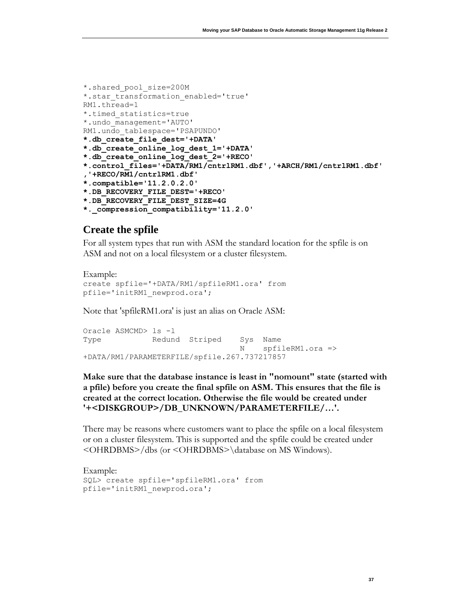```
*.shared_pool_size=200M
*.star transformation enabled='true'
RM1.thread=1
*.timed_statistics=true
*.undo_management='AUTO'
RM1.undo_tablespace='PSAPUNDO'
*.db_create_file_dest='+DATA'
*.db_create_online_log_dest_1='+DATA'
*.db_create_online_log_dest_2='+RECO'
*.control_files='+DATA/RM1/cntrlRM1.dbf','+ARCH/RM1/cntrlRM1.dbf'
,'+RECO/RM1/cntrlRM1.dbf'
*.compatible='11.2.0.2.0'
*.DB_RECOVERY_FILE_DEST='+RECO'
*.DB_RECOVERY_FILE_DEST_SIZE=4G
*._compression_compatibility='11.2.0'
```
#### **Create the spfile**

For all system types that run with ASM the standard location for the spfile is on ASM and not on a local filesystem or a cluster filesystem.

```
Example:
create spfile='+DATA/RM1/spfileRM1.ora' from 
pfile='initRM1_newprod.ora';
```
Note that 'spfileRM1.ora' is just an alias on Oracle ASM:

```
Oracle ASMCMD> ls -l
Type Redund Striped Sys Name
                               N spfileRM1.ora => 
+DATA/RM1/PARAMETERFILE/spfile.267.737217857
```
**Make sure that the database instance is least in "nomount" state (started with a pfile) before you create the final spfile on ASM. This ensures that the file is created at the correct location. Otherwise the file would be created under '+<DISKGROUP>/DB\_UNKNOWN/PARAMETERFILE/…'.**

There may be reasons where customers want to place the spfile on a local filesystem or on a cluster filesystem. This is supported and the spfile could be created under <OHRDBMS>/dbs (or <OHRDBMS>\database on MS Windows).

```
Example:
SQL> create spfile='spfileRM1.ora' from 
pfile='initRM1_newprod.ora';
```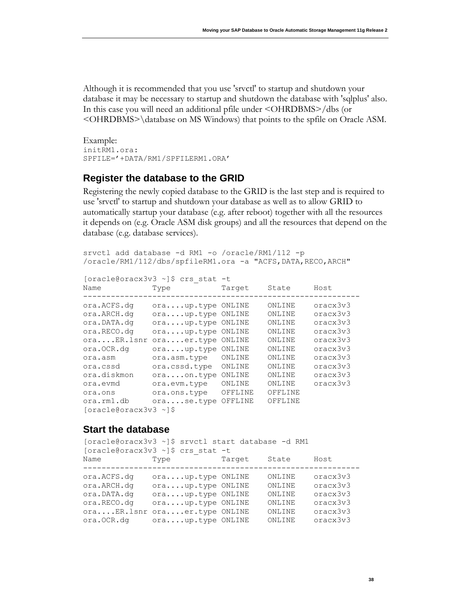Although it is recommended that you use 'srvctl' to startup and shutdown your database it may be necessary to startup and shutdown the database with 'sqlplus' also. In this case you will need an additional pfile under <OHRDBMS>/dbs (or <OHRDBMS>\database on MS Windows) that points to the spfile on Oracle ASM.

Example: initRM1.ora: SPFILE='+DATA/RM1/SPFILERM1.ORA'

#### <span id="page-38-0"></span>**Register the database to the GRID**

Registering the newly copied database to the GRID is the last step and is required to use 'srvctl' to startup and shutdown your database as well as to allow GRID to automatically startup your database (e.g. after reboot) together with all the resources it depends on (e.g. Oracle ASM disk groups) and all the resources that depend on the database (e.g. database services).

```
srvctl add database -d RM1 -o /oracle/RM1/112 -p 
/oracle/RM1/112/dbs/spfileRM1.ora -a "ACFS,DATA,RECO,ARCH"
```

```
[oracle@oracx3v3 ~]$ crs_stat -t
```

| Name                     | Type              | Target  | State   | Host     |
|--------------------------|-------------------|---------|---------|----------|
| ora.ACFS.dq              | oraup.type ONLINE |         | ONLINE  | oracx3v3 |
| ora.ARCH.dq              | oraup.type ONLINE |         | ONLINE  | oracx3v3 |
| ora.DATA.dq              | oraup.type        | ONLINE  | ONLINE  | oracx3v3 |
| ora.RECO.dq              | oraup.type        | ONLINE  | ONLINE  | oracx3v3 |
| oraER.lsnr               | oraer.type        | ONLINE  | ONLINE  | oracx3v3 |
| ora.OCR.dq               | oraup.type        | ONLINE  | ONLINE  | oracx3v3 |
| ora.asm                  | ora.asm.type      | ONLINE  | ONLINE  | oracx3v3 |
| ora.cssd                 | ora.cssd.type     | ONLINE  | ONLINE  | oracx3v3 |
| ora.diskmon              | oraon.type        | ONLINE  | ONLINE  | oracx3v3 |
| ora.evmd                 | ora.evm.type      | ONLINE  | ONLINE  | oracx3v3 |
| ora.ons                  | ora.ons.type      | OFFLINE | OFFLINE |          |
| ora.rm1.db               | orase.type        | OFFLINE | OFFLINE |          |
| $[oracle@oracx3v3 \sim]$ |                   |         |         |          |

### <span id="page-38-1"></span>**Start the database**

[oracle@oracx3v3 ~]\$ srvctl start database -d RM1 [oracle@oracx3v3 ~]\$ crs\_stat -t Name Type Target State Host ----------------------------------------------------------- ora.ACFS.dg ora....up.type ONLINE ONLINE oracx3v3 ora.ARCH.dg ora....up.type ONLINE ONLINE oracx3v3 ora.DATA.dg ora....up.type ONLINE ONLINE oracx3v3 ora.RECO.dg ora....up.type ONLINE ONLINE oracx3v3 ora....ER.lsnr ora....er.type ONLINE ONLINE oracx3v3 ora.OCR.dg ora....up.type ONLINE ONLINE oracx3v3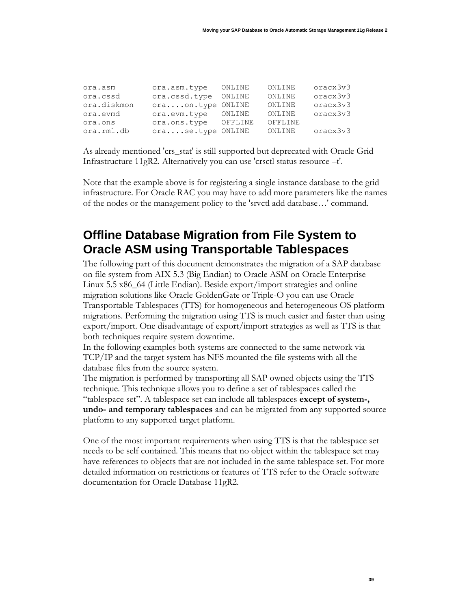| ora.asm     | ora.asm.type      | ONLINE  | ONLINE  | oracx3v3 |
|-------------|-------------------|---------|---------|----------|
| ora.cssd    | ora.cssd.type     | ONLINE  | ONLINE  | oracx3v3 |
| ora.diskmon | oraon.type ONLINE |         | ONLINE  | oracx3v3 |
| ora.evmd    | ora.evm.type      | ONLINE  | ONLINE  | oracx3v3 |
| ora.ons     | ora.ons.type      | OFFLINE | OFFLINE |          |
| ora.rm1.db  | orase.type ONLINE |         | ONLINE  | oracx3v3 |

As already mentioned 'crs\_stat' is still supported but deprecated with Oracle Grid Infrastructure 11gR2. Alternatively you can use 'crsctl status resource –t'.

Note that the example above is for registering a single instance database to the grid infrastructure. For Oracle RAC you may have to add more parameters like the names of the nodes or the management policy to the 'srvctl add database…' command.

# <span id="page-39-0"></span>**Offline Database Migration from File System to Oracle ASM using Transportable Tablespaces**

The following part of this document demonstrates the migration of a SAP database on file system from AIX 5.3 (Big Endian) to Oracle ASM on Oracle Enterprise Linux 5.5 x86\_64 (Little Endian). Beside export/import strategies and online migration solutions like Oracle GoldenGate or Triple-O you can use Oracle Transportable Tablespaces (TTS) for homogeneous and heterogeneous OS platform migrations. Performing the migration using TTS is much easier and faster than using export/import. One disadvantage of export/import strategies as well as TTS is that both techniques require system downtime.

In the following examples both systems are connected to the same network via TCP/IP and the target system has NFS mounted the file systems with all the database files from the source system.

The migration is performed by transporting all SAP owned objects using the TTS technique. This technique allows you to define a set of tablespaces called the "tablespace set". A tablespace set can include all tablespaces **except of system-, undo- and temporary tablespaces** and can be migrated from any supported source platform to any supported target platform.

One of the most important requirements when using TTS is that the tablespace set needs to be self contained. This means that no object within the tablespace set may have references to objects that are not included in the same tablespace set. For more detailed information on restrictions or features of TTS refer to the Oracle software documentation for Oracle Database 11gR2.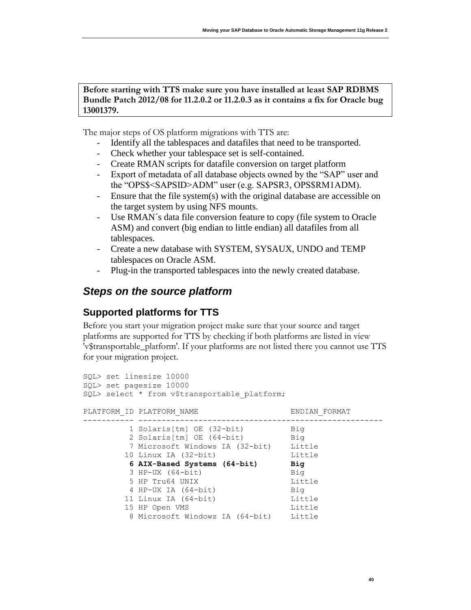**Before starting with TTS make sure you have installed at least SAP RDBMS Bundle Patch 2012/08 for 11.2.0.2 or 11.2.0.3 as it contains a fix for Oracle bug 13001379.**

The major steps of OS platform migrations with TTS are:

- Identify all the tablespaces and datafiles that need to be transported.
- Check whether your tablespace set is self-contained.
- Create RMAN scripts for datafile conversion on target platform
- Export of metadata of all database objects owned by the "SAP" user and the "OPS\$<SAPSID>ADM" user (e.g. SAPSR3, OPS\$RM1ADM).
- Ensure that the file system(s) with the original database are accessible on the target system by using NFS mounts.
- Use RMAN´s data file conversion feature to copy (file system to Oracle ASM) and convert (big endian to little endian) all datafiles from all tablespaces.
- Create a new database with SYSTEM, SYSAUX, UNDO and TEMP tablespaces on Oracle ASM.
- Plug-in the transported tablespaces into the newly created database.

# <span id="page-40-0"></span>*Steps on the source platform*

### <span id="page-40-1"></span>**Supported platforms for TTS**

Before you start your migration project make sure that your source and target platforms are supported for TTS by checking if both platforms are listed in view 'v\$transportable\_platform'. If your platforms are not listed there you cannot use TTS for your migration project.

```
SQL> set linesize 10000
SQL> set pagesize 10000
SQL> select * from v$transportable platform;
PLATFORM_ID_PLATFORM_NAME ENDIAN_FORMAT
----------- -----------------------------------------------------
 1 Solaris[tm] OE (32-bit) Big
 2 Solaris[tm] OE (64-bit) Big
 7 Microsoft Windows IA (32-bit) Little
 10 Linux IA (32-bit) Little
        6 AIX-Based Systems (64-bit) Big
        3 HP-UX (64-bit) Big
       5 HP Tru64 UNIX Little
 4 HP-UX IA (64-bit) Big
 11 Linux IA (64-bit) Little
15 HP Open VMS and Little
        8 Microsoft Windows IA (64-bit) Little
```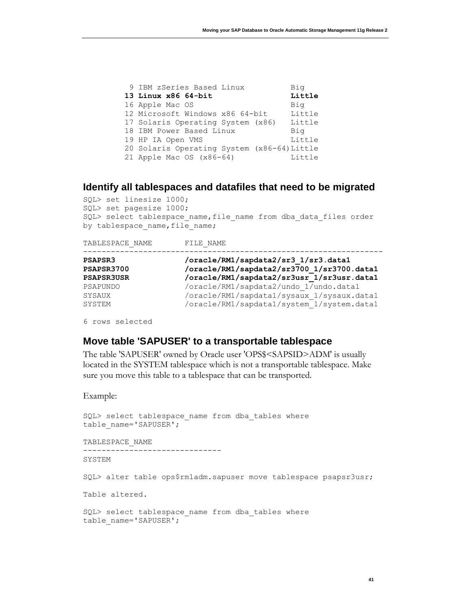| 9 IBM zSeries Based Linux                   | Big    |
|---------------------------------------------|--------|
| 13 Linux x86 64-bit                         | Little |
| 16 Apple Mac OS                             | Big    |
| 12 Microsoft Windows x86 64-bit             | Little |
| 17 Solaris Operating System (x86)           | Little |
| 18 IBM Power Based Linux                    | Big    |
| 19 HP IA Open VMS                           | Little |
| 20 Solaris Operating System (x86-64) Little |        |
| 21 Apple Mac OS $(x86-64)$                  | Little |

#### <span id="page-41-0"></span>**Identify all tablespaces and datafiles that need to be migrated**

SQL> set linesize 1000; SQL> set pagesize 1000; SQL> select tablespace name, file name from dba data files order by tablespace name, file name;

| TABLESPACE NAME   | FILE NAME                                  |
|-------------------|--------------------------------------------|
| PSAPSR3           | /oracle/RM1/sapdata2/sr3 1/sr3.data1       |
| PSAPSR3700        | /oracle/RM1/sapdata2/sr3700 1/sr3700.data1 |
| <b>PSAPSR3USR</b> | /oracle/RM1/sapdata2/sr3usr 1/sr3usr.data1 |
| PSAPUNDO          | /oracle/RM1/sapdata2/undo 1/undo.data1     |
| SYSAUX            | /oracle/RM1/sapdata1/sysaux 1/sysaux.data1 |
| SYSTEM            | /oracle/RM1/sapdata1/system 1/system.data1 |

<span id="page-41-1"></span>6 rows selected

# **Move table 'SAPUSER' to a transportable tablespace**

The table 'SAPUSER' owned by Oracle user 'OPS\$<SAPSID>ADM' is usually located in the SYSTEM tablespace which is not a transportable tablespace. Make sure you move this table to a tablespace that can be transported.

Example:

```
SQL> select tablespace name from dba tables where
table_name='SAPUSER';
```

```
TABLESPACE_NAME
```
------------------------------

SYSTEM

SQL> alter table ops\$rm1adm.sapuser move tablespace psapsr3usr;

Table altered.

```
SQL> select tablespace name from dba tables where
table_name='SAPUSER';
```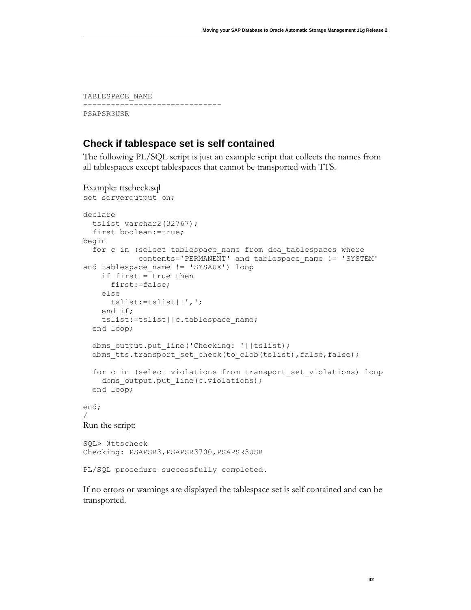TABLESPACE\_NAME ------------------------------ PSAPSR3USR

#### <span id="page-42-0"></span>**Check if tablespace set is self contained**

The following PL/SQL script is just an example script that collects the names from all tablespaces except tablespaces that cannot be transported with TTS.

```
Example: ttscheck.sql
set serveroutput on;
declare
   tslist varchar2(32767);
   first boolean:=true;
begin
  for c in (select tablespace name from dba tablespaces where
             contents='PERMANENT' and tablespace_name != 'SYSTEM' 
and tablespace name != 'SYSAUX') loop
     if first = true then
       first:=false;
     else
       tslist:=tslist||',';
     end if;
     tslist:=tslist||c.tablespace_name;
   end loop;
  dbms output.put line('Checking: '||tslist);
   dbms_tts.transport_set_check(to_clob(tslist),false,false);
   for c in (select violations from transport_set_violations) loop
    dbms output.put line(c.violations);
   end loop;
end;
/
Run the script:
SQL> @ttscheck
Checking: PSAPSR3, PSAPSR3700, PSAPSR3USR
PL/SQL procedure successfully completed.
```
If no errors or warnings are displayed the tablespace set is self contained and can be transported.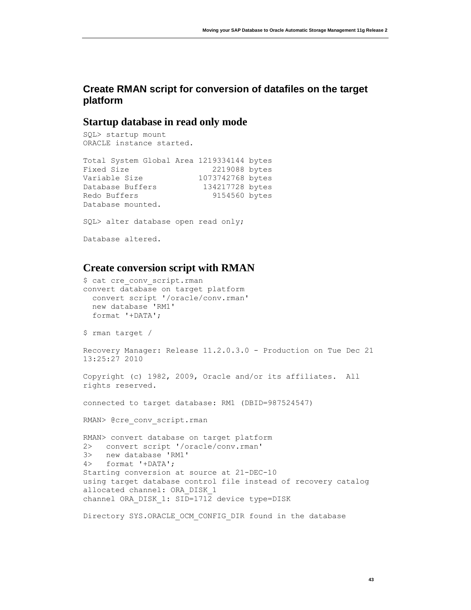## <span id="page-43-0"></span>**Create RMAN script for conversion of datafiles on the target platform**

### **Startup database in read only mode**

SQL> startup mount ORACLE instance started.

```
Total System Global Area 1219334144 bytes
Fixed Size 2219088 bytes
Variable Size 1073742768 bytes
Database Buffers 134217728 bytes
Redo Buffers 9154560 bytes
Database mounted.
SQL> alter database open read only;
Database altered.
```
## **Create conversion script with RMAN**

```
$ cat cre_conv_script.rman
convert database on target platform
   convert script '/oracle/conv.rman'
   new database 'RM1'
   format '+DATA';
$ rman target /
Recovery Manager: Release 11.2.0.3.0 - Production on Tue Dec 21 
13:25:27 2010
Copyright (c) 1982, 2009, Oracle and/or its affiliates. All 
rights reserved.
connected to target database: RM1 (DBID=987524547)
RMAN> @cre_conv_script.rman
RMAN> convert database on target platform
2> convert script '/oracle/conv.rman'
3> new database 'RM1'
4> format '+DATA';
Starting conversion at source at 21-DEC-10
using target database control file instead of recovery catalog
allocated channel: ORA_DISK_1
channel ORA DISK 1: SID=1712 device type=DISK
Directory SYS.ORACLE_OCM_CONFIG_DIR found in the database
```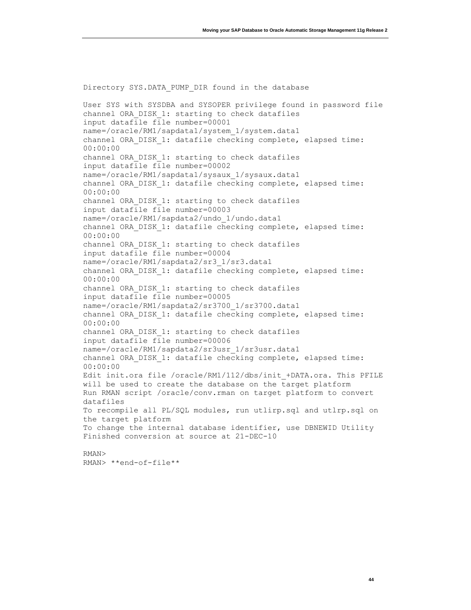Directory SYS.DATA PUMP DIR found in the database User SYS with SYSDBA and SYSOPER privilege found in password file channel ORA\_DISK\_1: starting to check datafiles input datafile file number=00001 name=/oracle/RM1/sapdata1/system\_1/system.data1 channel ORA DISK 1: datafile checking complete, elapsed time: 00:00:00 channel ORA\_DISK\_1: starting to check datafiles input datafile file number=00002 name=/oracle/RM1/sapdata1/sysaux\_1/sysaux.data1 channel ORA\_DISK\_1: datafile checking complete, elapsed time: 00:00:00 channel ORA\_DISK\_1: starting to check datafiles input datafile file number=00003 name=/oracle/RM1/sapdata2/undo\_1/undo.data1 channel ORA DISK 1: datafile checking complete, elapsed time: 00:00:00 channel ORA\_DISK\_1: starting to check datafiles input datafile file number=00004 name=/oracle/RM1/sapdata2/sr3\_1/sr3.data1 channel ORA DISK 1: datafile checking complete, elapsed time: 00:00:00 channel ORA\_DISK\_1: starting to check datafiles input datafile file number=00005 name=/oracle/RM1/sapdata2/sr3700\_1/sr3700.data1 channel ORA DISK 1: datafile checking complete, elapsed time: 00:00:00 channel ORA\_DISK\_1: starting to check datafiles input datafile file number=00006 name=/oracle/RM1/sapdata2/sr3usr\_1/sr3usr.data1 channel ORA\_DISK\_1: datafile checking complete, elapsed time: 00:00:00 Edit init.ora file /oracle/RM1/112/dbs/init\_+DATA.ora. This PFILE will be used to create the database on the target platform Run RMAN script /oracle/conv.rman on target platform to convert datafiles To recompile all PL/SQL modules, run utlirp.sql and utlrp.sql on the target platform To change the internal database identifier, use DBNEWID Utility Finished conversion at source at 21-DEC-10 RMAN> RMAN> \*\*end-of-file\*\*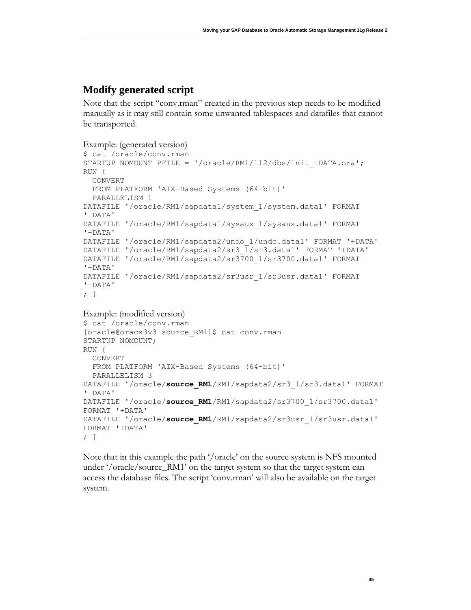## **Modify generated script**

Note that the script "conv.rman" created in the previous step needs to be modified manually as it may still contain some unwanted tablespaces and datafiles that cannot be transported.

```
Example: (generated version)
```

```
$ cat /oracle/conv.rman
STARTUP NOMOUNT PFILE = '/oracle/RM1/112/dbs/init_+DATA.ora';
RUN {
   CONVERT
  FROM PLATFORM 'AIX-Based Systems (64-bit)'
   PARALLELISM 1
DATAFILE '/oracle/RM1/sapdata1/system_1/system.data1' FORMAT 
'+DATA'
DATAFILE '/oracle/RM1/sapdata1/sysaux_1/sysaux.data1' FORMAT 
'+DATA'
DATAFILE '/oracle/RM1/sapdata2/undo_1/undo.data1' FORMAT '+DATA'
DATAFILE '/oracle/RM1/sapdata2/sr3_1/sr3.data1' FORMAT '+DATA'
DATAFILE '/oracle/RM1/sapdata2/sr3700_1/sr3700.data1' FORMAT 
'+DATA'
DATAFILE '/oracle/RM1/sapdata2/sr3usr_1/sr3usr.data1' FORMAT 
'+DATA'
; }
```

```
Example: (modified version)
```

```
$ cat /oracle/conv.rman
[oracle@oracx3v3 source_RM1]$ cat conv.rman 
STARTUP NOMOUNT;
RUN {
  CONVERT 
  FROM PLATFORM 'AIX-Based Systems (64-bit)'
  PARALLELISM 3
DATAFILE '/oracle/source_RM1/RM1/sapdata2/sr3_1/sr3.data1' FORMAT 
'+DATA'
DATAFILE '/oracle/source_RM1/RM1/sapdata2/sr3700_1/sr3700.data1' 
FORMAT '+DATA'
DATAFILE '/oracle/source_RM1/RM1/sapdata2/sr3usr_1/sr3usr.data1' 
FORMAT '+DATA'
; }
```
Note that in this example the path '/oracle' on the source system is NFS mounted under '/oracle/source\_RM1' on the target system so that the target system can access the database files. The script 'conv.rman' will also be available on the target system.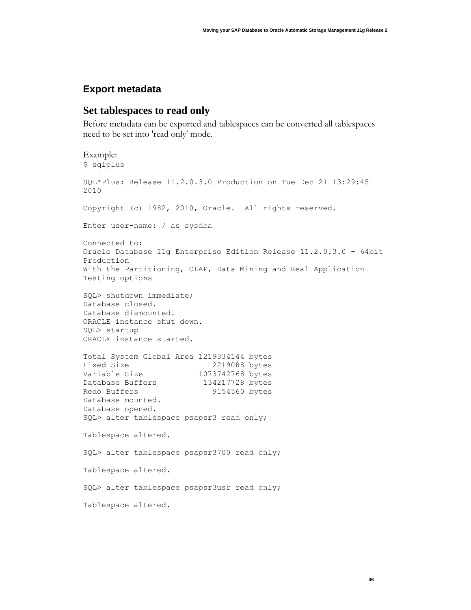### <span id="page-46-0"></span>**Export metadata**

#### **Set tablespaces to read only**

Before metadata can be exported and tablespaces can be converted all tablespaces need to be set into 'read only' mode.

```
Example:
$ sqlplus
SQL*Plus: Release 11.2.0.3.0 Production on Tue Dec 21 13:29:45 
2010
Copyright (c) 1982, 2010, Oracle. All rights reserved.
Enter user-name: / as sysdba
Connected to:
Oracle Database 11g Enterprise Edition Release 11.2.0.3.0 - 64bit 
Production
With the Partitioning, OLAP, Data Mining and Real Application 
Testing options
SQL> shutdown immediate;
Database closed.
Database dismounted.
ORACLE instance shut down.
SQL> startup
ORACLE instance started.
Total System Global Area 1219334144 bytes
Fixed Size 2219088 bytes
Variable Size 1073742768 bytes
Database Buffers 134217728 bytes
Redo Buffers 9154560 bytes
Database mounted.
Database opened.
SQL> alter tablespace psapsr3 read only;
Tablespace altered.
SQL> alter tablespace psapsr3700 read only;
Tablespace altered.
SQL> alter tablespace psapsr3usr read only;
Tablespace altered.
```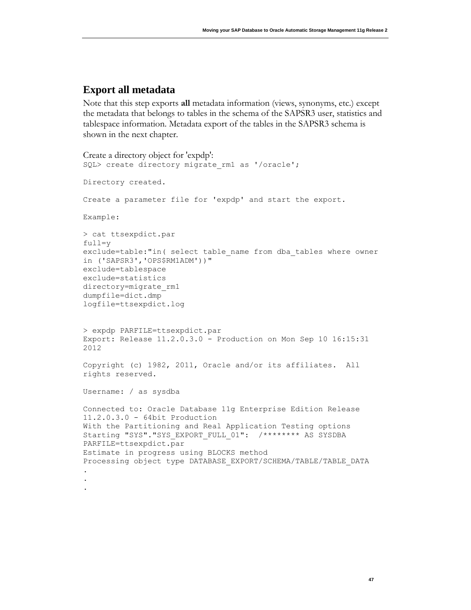### **Export all metadata**

Note that this step exports **all** metadata information (views, synonyms, etc.) except the metadata that belongs to tables in the schema of the SAPSR3 user, statistics and tablespace information. Metadata export of the tables in the SAPSR3 schema is shown in the next chapter.

```
Create a directory object for 'expdp':
SQL> create directory migrate rm1 as '/oracle';
Directory created.
Create a parameter file for 'expdp' and start the export.
Example:
> cat ttsexpdict.par
full=y
exclude=table:"in( select table name from dba tables where owner
in ('SAPSR3','OPS$RM1ADM'))"
exclude=tablespace
exclude=statistics
directory=migrate_rm1
dumpfile=dict.dmp
logfile=ttsexpdict.log
> expdp PARFILE=ttsexpdict.par
Export: Release 11.2.0.3.0 - Production on Mon Sep 10 16:15:31 
2012
Copyright (c) 1982, 2011, Oracle and/or its affiliates. All 
rights reserved.
Username: / as sysdba
Connected to: Oracle Database 11g Enterprise Edition Release 
11.2.0.3.0 - 64bit Production
With the Partitioning and Real Application Testing options
Starting "SYS". "SYS EXPORT FULL 01": /******** AS SYSDBA
PARFILE=ttsexpdict.par
Estimate in progress using BLOCKS method
Processing object type DATABASE_EXPORT/SCHEMA/TABLE/TABLE_DATA
.
.
.
```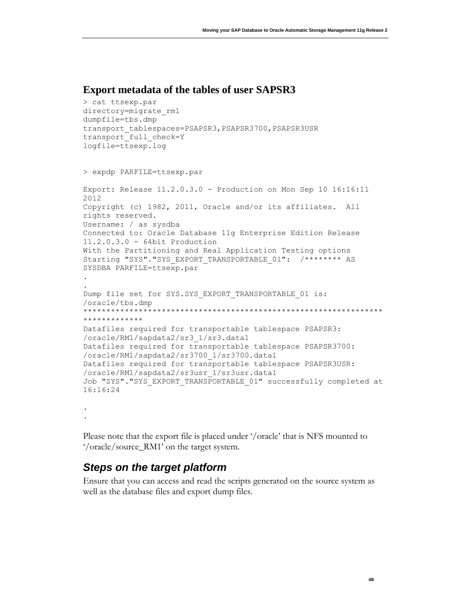#### **Export metadata of the tables of user SAPSR3**

```
> cat ttsexp.par
directory=migrate_rm1
dumpfile=tbs.dmp
transport_tablespaces=PSAPSR3, PSAPSR3700, PSAPSR3USR
transport full check=Y
logfile=ttsexp.log
> expdp PARFILE=ttsexp.par
Export: Release 11.2.0.3.0 - Production on Mon Sep 10 16:16:11 
2012
Copyright (c) 1982, 2011, Oracle and/or its affiliates. All 
rights reserved.
Username: / as sysdba
Connected to: Oracle Database 11g Enterprise Edition Release 
11.2.0.3.0 - 64bit Production
With the Partitioning and Real Application Testing options
Starting "SYS"."SYS_EXPORT TRANSPORTABLE 01": /******** AS
SYSDBA PARFILE=ttsexp.par 
.
.
Dump file set for SYS.SYS EXPORT TRANSPORTABLE 01 is:
/oracle/tbs.dmp
*****************************************************************
*************
Datafiles required for transportable tablespace PSAPSR3:
/oracle/RM1/sapdata2/sr3_1/sr3.data1
Datafiles required for transportable tablespace PSAPSR3700:
/oracle/RM1/sapdata2/sr3700_1/sr3700.data1
Datafiles required for transportable tablespace PSAPSR3USR:
/oracle/RM1/sapdata2/sr3usr_1/sr3usr.data1
Job "SYS". "SYS EXPORT TRANSPORTABLE 01" successfully completed at
16:16:24 
.
```
.

Please note that the export file is placed under '/oracle' that is NFS mounted to '/oracle/source\_RM1' on the target system.

## <span id="page-48-0"></span>*Steps on the target platform*

Ensure that you can access and read the scripts generated on the source system as well as the database files and export dump files.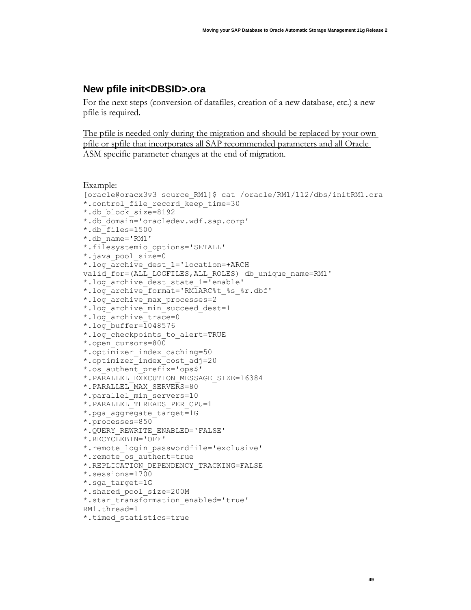### <span id="page-49-0"></span>**New pfile init<DBSID>.ora**

For the next steps (conversion of datafiles, creation of a new database, etc.) a new pfile is required.

The pfile is needed only during the migration and should be replaced by your own pfile or spfile that incorporates all SAP recommended parameters and all Oracle ASM specific parameter changes at the end of migration.

```
Example:
[oracle@oracx3v3 source_RM1]$ cat /oracle/RM1/112/dbs/initRM1.ora
*.control_file_record_keep_time=30
*.db_block_size=8192
*.db_domain='oracledev.wdf.sap.corp'
*.db_files=1500
*.db_name='RM1'
*.filesystemio_options='SETALL'
*.java_pool_size=0
*.log_archive_dest_1='location=+ARCH 
valid for=(ALL_LOGFILES, ALL_ROLES) db_unique_name=RM1'
*.log_archive_dest_state_1='enable'
*.log_archive_format='RM1ARC%t_%s_%r.dbf'
*.log_archive_max_processes=2
*.log_archive_min_succeed_dest=1
*.log_archive_trace=0
*.log_buffer=1048576
*.log_checkpoints_to_alert=TRUE
*.open_cursors=800
*.optimizer_index_caching=50
*.optimizer_index_cost_adj=20
*.os_authent_prefix='ops$'
*.PARALLEL_EXECUTION_MESSAGE_SIZE=16384
*.PARALLEL_MAX_SERVERS=80
*.parallel_min_servers=10
*.PARALLEL_THREADS_PER_CPU=1
*.pga_aggregate_target=1G
*.processes=850
*.QUERY_REWRITE_ENABLED='FALSE'
*.RECYCLEBIN='OFF'
*.remote_login_passwordfile='exclusive'
*.remote_os_authent=true
*.REPLICATION_DEPENDENCY_TRACKING=FALSE
*.sessions=1700
*.sga_target=1G
*.shared_pool_size=200M
*.star transformation enabled='true'
RM1.thread=1
*.timed_statistics=true
```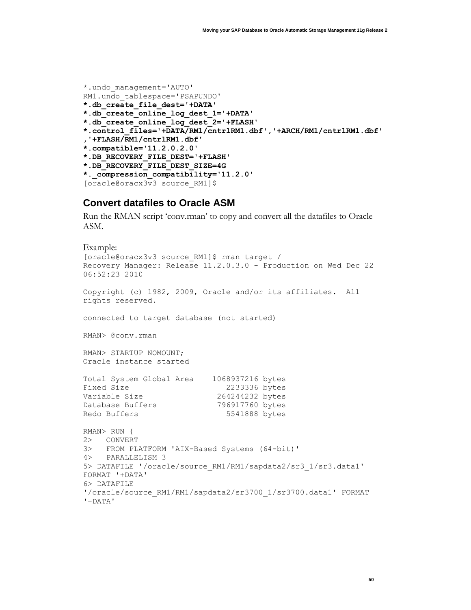```
*.undo_management='AUTO'
RM1.undo_tablespace='PSAPUNDO'
*.db_create_file_dest='+DATA'
*.db_create_online_log_dest_1='+DATA'
*.db_create_online_log_dest_2='+FLASH'
*.control_files='+DATA/RM1/cntrlRM1.dbf','+ARCH/RM1/cntrlRM1.dbf'
,'+FLASH/RM1/cntrlRM1.dbf'
*.compatible='11.2.0.2.0'
*.DB_RECOVERY_FILE_DEST='+FLASH'
*.DB_RECOVERY_FILE_DEST_SIZE=4G
*._compression_compatibility='11.2.0'
[oracle@oracx3v3 source_RM1]$
```
#### <span id="page-50-0"></span>**Convert datafiles to Oracle ASM**

Run the RMAN script 'conv.rman' to copy and convert all the datafiles to Oracle ASM.

```
Example:
[oracle@oracx3v3 source_RM1]$ rman target /
Recovery Manager: Release 11.2.0.3.0 - Production on Wed Dec 22 
06:52:23 2010
Copyright (c) 1982, 2009, Oracle and/or its affiliates. All 
rights reserved.
connected to target database (not started)
RMAN> @conv.rman
RMAN> STARTUP NOMOUNT;
Oracle instance started
Total System Global Area 1068937216 bytes
Fixed Size 2233336 bytes
Variable Size 264244232 bytes
Database Buffers 796917760 bytes
Redo Buffers 5541888 bytes
RMAN> RUN {
2> CONVERT 
3> FROM PLATFORM 'AIX-Based Systems (64-bit)'
4> PARALLELISM 3
5> DATAFILE '/oracle/source_RM1/RM1/sapdata2/sr3_1/sr3.data1' 
FORMAT '+DATA'
6> DATAFILE 
'/oracle/source_RM1/RM1/sapdata2/sr3700_1/sr3700.data1' FORMAT 
'+DATA'
```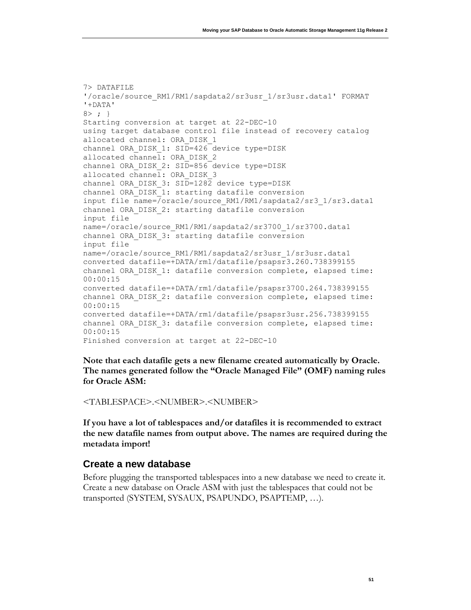```
7> DATAFILE 
'/oracle/source_RM1/RM1/sapdata2/sr3usr_1/sr3usr.data1' FORMAT 
'+DATA'
8> ; }
Starting conversion at target at 22-DEC-10
using target database control file instead of recovery catalog
allocated channel: ORA_DISK_1
channel ORA DISK 1: SID=426 device type=DISK
allocated channel: ORA DISK 2
channel ORA DISK 2: SID=856 device type=DISK
allocated channel: ORA DISK 3
channel ORA DISK 3: SID=1282 device type=DISK
channel ORA_DISK_1: starting datafile conversion
input file name=/oracle/source_RM1/RM1/sapdata2/sr3_1/sr3.data1
channel ORA_DISK_2: starting datafile conversion
input file 
name=/oracle/source_RM1/RM1/sapdata2/sr3700_1/sr3700.data1
channel ORA_DISK_3: starting datafile conversion
input file 
name=/oracle/source_RM1/RM1/sapdata2/sr3usr_1/sr3usr.data1
converted datafile=+DATA/rm1/datafile/psapsr3.260.738399155
channel ORA DISK 1: datafile conversion complete, elapsed time:
00:00:15
converted datafile=+DATA/rm1/datafile/psapsr3700.264.738399155
channel ORA DISK 2: datafile conversion complete, elapsed time:
00:00:15
converted datafile=+DATA/rm1/datafile/psapsr3usr.256.738399155
channel ORA DISK 3: datafile conversion complete, elapsed time:
00:00:15
Finished conversion at target at 22-DEC-10
```
**Note that each datafile gets a new filename created automatically by Oracle. The names generated follow the "Oracle Managed File" (OMF) naming rules for Oracle ASM:**

<TABLESPACE>.<NUMBER>.<NUMBER>

**If you have a lot of tablespaces and/or datafiles it is recommended to extract the new datafile names from output above. The names are required during the metadata import!**

#### <span id="page-51-0"></span>**Create a new database**

Before plugging the transported tablespaces into a new database we need to create it. Create a new database on Oracle ASM with just the tablespaces that could not be transported (SYSTEM, SYSAUX, PSAPUNDO, PSAPTEMP, …).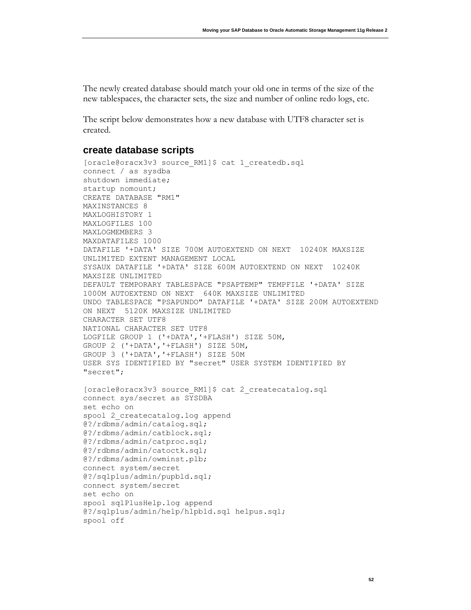The newly created database should match your old one in terms of the size of the new tablespaces, the character sets, the size and number of online redo logs, etc.

The script below demonstrates how a new database with UTF8 character set is created.

#### <span id="page-52-0"></span>**create database scripts**

```
[oracle@oracx3v3 source RM1]$ cat 1 createdb.sql
connect / as sysdba
shutdown immediate;
startup nomount;
CREATE DATABASE "RM1"
MAXINSTANCES 8
MAXLOGHISTORY 1
MAXLOGFILES 100
MAXLOGMEMBERS 3
MAXDATAFILES 1000
DATAFILE '+DATA' SIZE 700M AUTOEXTEND ON NEXT 10240K MAXSIZE 
UNLIMITED EXTENT MANAGEMENT LOCAL
SYSAUX DATAFILE '+DATA' SIZE 600M AUTOEXTEND ON NEXT 10240K 
MAXSIZE UNLIMITED 
DEFAULT TEMPORARY TABLESPACE "PSAPTEMP" TEMPFILE '+DATA' SIZE 
1000M AUTOEXTEND ON NEXT 640K MAXSIZE UNLIMITED
UNDO TABLESPACE "PSAPUNDO" DATAFILE '+DATA' SIZE 200M AUTOEXTEND 
ON NEXT 5120K MAXSIZE UNLIMITED
CHARACTER SET UTF8
NATIONAL CHARACTER SET UTF8
LOGFILE GROUP 1 ('+DATA','+FLASH') SIZE 50M,
GROUP 2 ('+DATA','+FLASH') SIZE 50M,
GROUP 3 ('+DATA','+FLASH') SIZE 50M
USER SYS IDENTIFIED BY "secret" USER SYSTEM IDENTIFIED BY 
"secret";
[oracle@oracx3v3 source_RM1]$ cat 2_createcatalog.sql
connect sys/secret as SYSDBA
set echo on
spool 2_createcatalog.log append
@?/rdbms/admin/catalog.sql;
@?/rdbms/admin/catblock.sql;
@?/rdbms/admin/catproc.sql;
@?/rdbms/admin/catoctk.sql;
@?/rdbms/admin/owminst.plb;
connect system/secret
@?/sqlplus/admin/pupbld.sql;
connect system/secret
set echo on
spool sqlPlusHelp.log append
@?/sqlplus/admin/help/hlpbld.sql helpus.sql;
spool off
```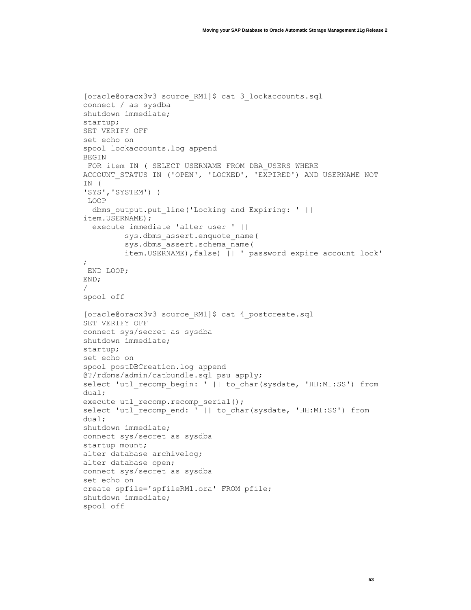```
[oracle@oracx3v3 source_RM1]$ cat 3_lockaccounts.sql 
connect / as sysdba
shutdown immediate;
startup;
SET VERIFY OFF
set echo on
spool lockaccounts.log append
BEGIN
FOR item IN ( SELECT USERNAME FROM DBA USERS WHERE
ACCOUNT_STATUS IN ('OPEN', 'LOCKED', 'EXPIRED') AND USERNAME NOT 
IN (
'SYS','SYSTEM') )
LOOP
  dbms output.put line('Locking and Expiring: ' ||
item.USERNAME);
   execute immediate 'alter user ' ||
          sys.dbms_assert.enquote_name(
          sys.dbms_assert.schema_name(
          item.USERNAME),false) || ' password expire account lock' 
;
END LOOP;
END;
/
spool off
[oracle@oracx3v3 source_RM1]$ cat 4_postcreate.sql 
SET VERIFY OFF
connect sys/secret as sysdba
shutdown immediate;
startup;
set echo on
spool postDBCreation.log append
@?/rdbms/admin/catbundle.sql psu apply;
select 'utl recomp begin: ' || to char(sysdate, 'HH:MI:SS') from
dual;
execute utl recomp.recomp serial();
select 'utl recomp end: ' || to char(sysdate, 'HH:MI:SS') from
dual;
shutdown immediate;
connect sys/secret as sysdba
startup mount;
alter database archivelog;
alter database open;
connect sys/secret as sysdba
set echo on
create spfile='spfileRM1.ora' FROM pfile;
shutdown immediate;
spool off
```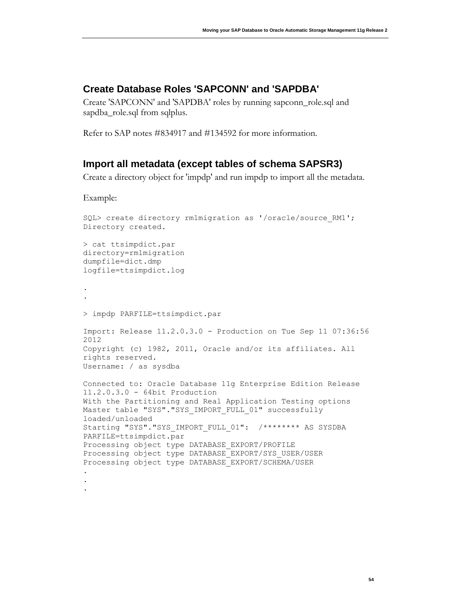### <span id="page-54-0"></span>**Create Database Roles 'SAPCONN' and 'SAPDBA'**

Create 'SAPCONN' and 'SAPDBA' roles by running sapconn\_role.sql and sapdba\_role.sql from sqlplus.

Refer to SAP notes #834917 and #134592 for more information.

### <span id="page-54-1"></span>**Import all metadata (except tables of schema SAPSR3)**

Create a directory object for 'impdp' and run impdp to import all the metadata.

Example:

```
SQL> create directory rm1migration as '/oracle/source_RM1';
Directory created.
> cat ttsimpdict.par
directory=rm1migration
dumpfile=dict.dmp
logfile=ttsimpdict.log
.
.
> impdp PARFILE=ttsimpdict.par 
Import: Release 11.2.0.3.0 - Production on Tue Sep 11 07:36:56 
2012
Copyright (c) 1982, 2011, Oracle and/or its affiliates. All 
rights reserved.
Username: / as sysdba
Connected to: Oracle Database 11g Enterprise Edition Release 
11.2.0.3.0 - 64bit Production
With the Partitioning and Real Application Testing options
Master table "SYS". "SYS IMPORT FULL 01" successfully
loaded/unloaded
Starting "SYS"."SYS IMPORT FULL 01": /******** AS SYSDBA
PARFILE=ttsimpdict.par 
Processing object type DATABASE_EXPORT/PROFILE
Processing object type DATABASE_EXPORT/SYS_USER/USER
Processing object type DATABASE_EXPORT/SCHEMA/USER
.
.
.
```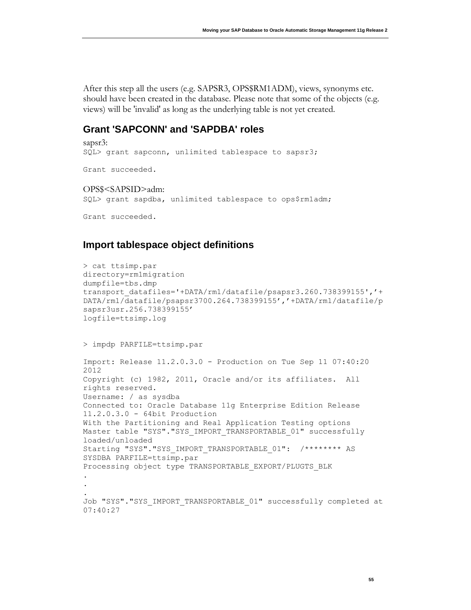After this step all the users (e.g. SAPSR3, OPS\$RM1ADM), views, synonyms etc. should have been created in the database. Please note that some of the objects (e.g. views) will be 'invalid' as long as the underlying table is not yet created.

#### <span id="page-55-0"></span>**Grant 'SAPCONN' and 'SAPDBA' roles**

sapsr3: SQL> grant sapconn, unlimited tablespace to sapsr3; Grant succeeded. OPS\$<SAPSID>adm: SQL> grant sapdba, unlimited tablespace to ops\$rm1adm; Grant succeeded.

### <span id="page-55-1"></span>**Import tablespace object definitions**

```
> cat ttsimp.par
directory=rm1migration
dumpfile=tbs.dmp
transport_datafiles='+DATA/rm1/datafile/psapsr3.260.738399155','+
DATA/rm1/datafile/psapsr3700.264.738399155','+DATA/rm1/datafile/p
sapsr3usr.256.738399155'
logfile=ttsimp.log
> impdp PARFILE=ttsimp.par 
Import: Release 11.2.0.3.0 - Production on Tue Sep 11 07:40:20 
2012
Copyright (c) 1982, 2011, Oracle and/or its affiliates. All 
rights reserved.
Username: / as sysdba
Connected to: Oracle Database 11g Enterprise Edition Release 
11.2.0.3.0 - 64bit Production
With the Partitioning and Real Application Testing options
Master table "SYS". "SYS IMPORT TRANSPORTABLE 01" successfully
loaded/unloaded
Starting "SYS"."SYS_IMPORT_TRANSPORTABLE_01": /******** AS
SYSDBA PARFILE=ttsimp.par
Processing object type TRANSPORTABLE_EXPORT/PLUGTS_BLK
.
.
.
Job "SYS". "SYS IMPORT TRANSPORTABLE 01" successfully completed at
07:40:27
```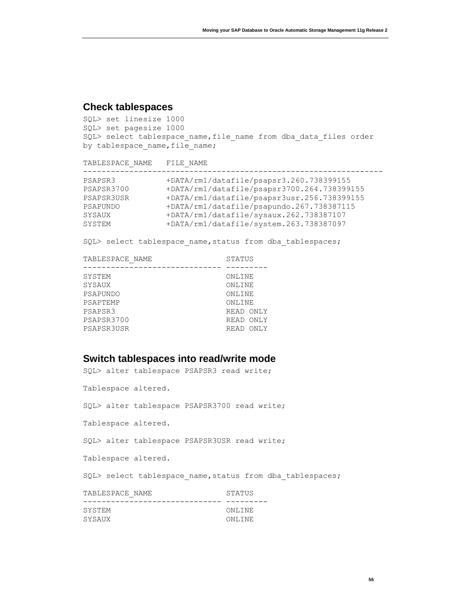## <span id="page-56-0"></span>**Check tablespaces**

```
SQL> set linesize 1000
SQL> set pagesize 1000
SQL> select tablespace_name,file_name from dba_data_files order 
by tablespace_name, file_name;
```

| TABLESPACE NAME | FILE NAME                                   |
|-----------------|---------------------------------------------|
| PSAPSR3         | +DATA/rm1/datafile/psapsr3.260.738399155    |
| PSAPSR3700      | +DATA/rm1/datafile/psapsr3700.264.738399155 |
| PSAPSR3USR      | +DATA/rm1/datafile/psapsr3usr.256.738399155 |
| PSAPUNDO        | +DATA/rm1/datafile/psapundo.267.738387115   |
| SYSAUX          | +DATA/rm1/datafile/sysaux.262.738387107     |
| SYSTEM          | +DATA/rm1/datafile/system.263.738387097     |

SQL> select tablespace name, status from dba tablespaces;

| TABLESPACE NAME | STATUS    |           |
|-----------------|-----------|-----------|
|                 |           |           |
| SYSTEM          | ONLINE    |           |
| SYSAUX          | ONLINE    |           |
| PSAPUNDO        | ONLINE    |           |
| PSAPTEMP        | ONLINE    |           |
| PSAPSR3         | READ ONLY |           |
| PSAPSR3700      | READ ONLY |           |
| PSAPSR3USR      |           | READ ONLY |
|                 |           |           |

## <span id="page-56-1"></span>**Switch tablespaces into read/write mode**

| SQL> alter tablespace PSAPSR3 read write;                 |  |
|-----------------------------------------------------------|--|
| Tablespace altered.                                       |  |
| SQL> alter tablespace PSAPSR3700 read write;              |  |
| Tablespace altered.                                       |  |
| SQL> alter tablespace PSAPSR3USR read write;              |  |
| Tablespace altered.                                       |  |
| SQL> select tablespace name, status from dba tablespaces; |  |
| TABLESPACE NAME<br>STATUS<br>-----------------            |  |
| SYSTEM<br>ONLINE                                          |  |
| SYSAUX<br>ONLINE                                          |  |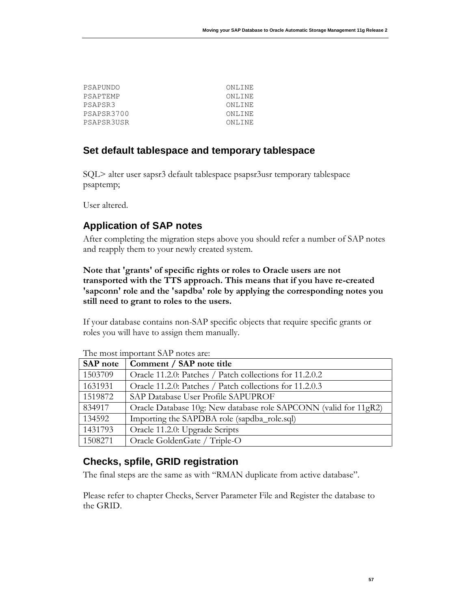| PSAPUNDO   | ONLINE  |
|------------|---------|
| PSAPTEMP   | ONLINE  |
| PSAPSR3    | ONLINE  |
| PSAPSR3700 | ONL TNE |
| PSAPSR3USR | ONL TNE |
|            |         |

### <span id="page-57-0"></span>**Set default tablespace and temporary tablespace**

SQL> alter user sapsr3 default tablespace psapsr3usr temporary tablespace psaptemp;

User altered.

# <span id="page-57-1"></span>**Application of SAP notes**

After completing the migration steps above you should refer a number of SAP notes and reapply them to your newly created system.

#### **Note that 'grants' of specific rights or roles to Oracle users are not transported with the TTS approach. This means that if you have re-created 'sapconn' role and the 'sapdba' role by applying the corresponding notes you still need to grant to roles to the users.**

If your database contains non-SAP specific objects that require specific grants or roles you will have to assign them manually.

| <b>SAP</b> note | Comment / SAP note title                                         |
|-----------------|------------------------------------------------------------------|
| 1503709         | Oracle 11.2.0: Patches / Patch collections for 11.2.0.2          |
| 1631931         | Oracle 11.2.0: Patches / Patch collections for 11.2.0.3          |
| 1519872         | SAP Database User Profile SAPUPROF                               |
| 834917          | Oracle Database 10g: New database role SAPCONN (valid for 11gR2) |
| 134592          | Importing the SAPDBA role (sapdba_role.sql)                      |
| 1431793         | Oracle 11.2.0: Upgrade Scripts                                   |
| 1508271         | Oracle GoldenGate / Triple-O                                     |

The most important SAP notes are:

# <span id="page-57-2"></span>**Checks, spfile, GRID registration**

The final steps are the same as with "RMAN duplicate from active database".

Please refer to chapter [Checks,](#page-33-1) [Server Parameter File](#page-36-0) and [Register the database to](#page-38-0)  [the GRID.](#page-38-0)